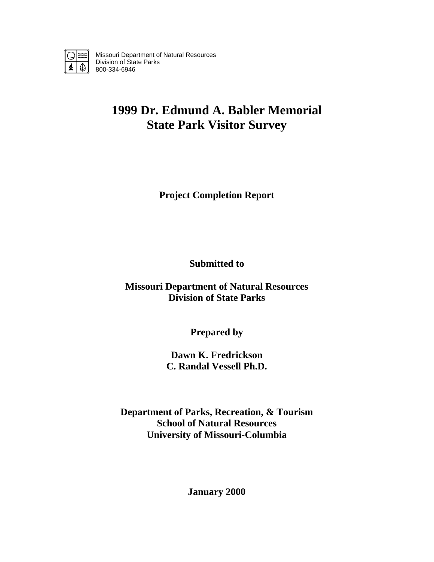

Missouri Department of Natural Resources Division of State Parks 800-334-6946

# **1999 Dr. Edmund A. Babler Memorial State Park Visitor Survey**

**Project Completion Report** 

**Submitted to** 

**Missouri Department of Natural Resources Division of State Parks** 

**Prepared by** 

**Dawn K. Fredrickson C. Randal Vessell Ph.D.** 

**Department of Parks, Recreation, & Tourism School of Natural Resources University of Missouri-Columbia** 

**January 2000**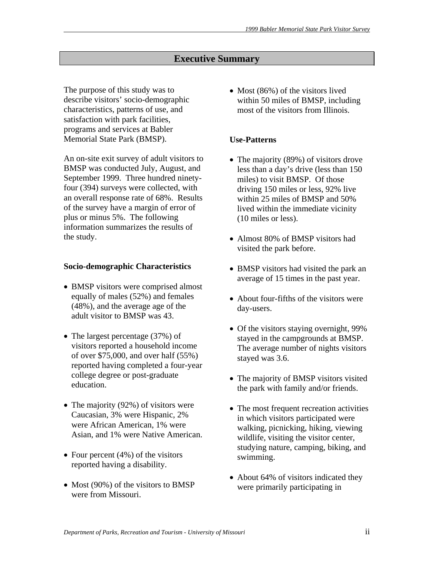# **Executive Summary**

The purpose of this study was to describe visitors' socio-demographic characteristics, patterns of use, and satisfaction with park facilities, programs and services at Babler Memorial State Park (BMSP).

An on-site exit survey of adult visitors to BMSP was conducted July, August, and September 1999. Three hundred ninetyfour (394) surveys were collected, with an overall response rate of 68%. Results of the survey have a margin of error of plus or minus 5%. The following information summarizes the results of the study.

#### **Socio-demographic Characteristics**

- BMSP visitors were comprised almost equally of males (52%) and females (48%), and the average age of the adult visitor to BMSP was 43.
- The largest percentage (37%) of visitors reported a household income of over \$75,000, and over half (55%) reported having completed a four-year college degree or post-graduate education.
- The majority (92%) of visitors were Caucasian, 3% were Hispanic, 2% were African American, 1% were Asian, and 1% were Native American.
- Four percent  $(4%)$  of the visitors reported having a disability.
- Most (90%) of the visitors to BMSP were from Missouri.

• Most (86%) of the visitors lived within 50 miles of BMSP, including most of the visitors from Illinois.

#### **Use-Patterns**

- The majority (89%) of visitors drove less than a day's drive (less than 150 miles) to visit BMSP. Of those driving 150 miles or less, 92% live within 25 miles of BMSP and 50% lived within the immediate vicinity (10 miles or less).
- Almost 80% of BMSP visitors had visited the park before.
- BMSP visitors had visited the park an average of 15 times in the past year.
- About four-fifths of the visitors were day-users.
- Of the visitors staying overnight, 99% stayed in the campgrounds at BMSP. The average number of nights visitors stayed was 3.6.
- The majority of BMSP visitors visited the park with family and/or friends.
- The most frequent recreation activities in which visitors participated were walking, picnicking, hiking, viewing wildlife, visiting the visitor center, studying nature, camping, biking, and swimming.
- About 64% of visitors indicated they were primarily participating in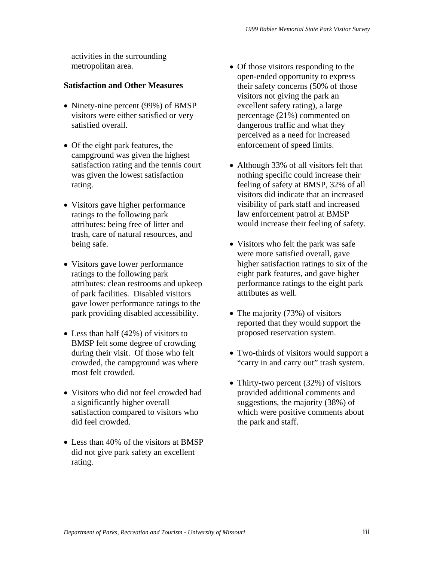activities in the surrounding metropolitan area.

## **Satisfaction and Other Measures**

- Ninety-nine percent (99%) of BMSP visitors were either satisfied or very satisfied overall.
- Of the eight park features, the campground was given the highest satisfaction rating and the tennis court was given the lowest satisfaction rating.
- Visitors gave higher performance ratings to the following park attributes: being free of litter and trash, care of natural resources, and being safe.
- Visitors gave lower performance ratings to the following park attributes: clean restrooms and upkeep of park facilities. Disabled visitors gave lower performance ratings to the park providing disabled accessibility.
- Less than half (42%) of visitors to BMSP felt some degree of crowding during their visit. Of those who felt crowded, the campground was where most felt crowded.
- Visitors who did not feel crowded had a significantly higher overall satisfaction compared to visitors who did feel crowded.
- Less than 40% of the visitors at BMSP did not give park safety an excellent rating.
- Of those visitors responding to the open-ended opportunity to express their safety concerns (50% of those visitors not giving the park an excellent safety rating), a large percentage (21%) commented on dangerous traffic and what they perceived as a need for increased enforcement of speed limits.
- Although 33% of all visitors felt that nothing specific could increase their feeling of safety at BMSP, 32% of all visitors did indicate that an increased visibility of park staff and increased law enforcement patrol at BMSP would increase their feeling of safety.
- Visitors who felt the park was safe were more satisfied overall, gave higher satisfaction ratings to six of the eight park features, and gave higher performance ratings to the eight park attributes as well.
- The majority (73%) of visitors reported that they would support the proposed reservation system.
- Two-thirds of visitors would support a "carry in and carry out" trash system.
- Thirty-two percent (32%) of visitors provided additional comments and suggestions, the majority (38%) of which were positive comments about the park and staff.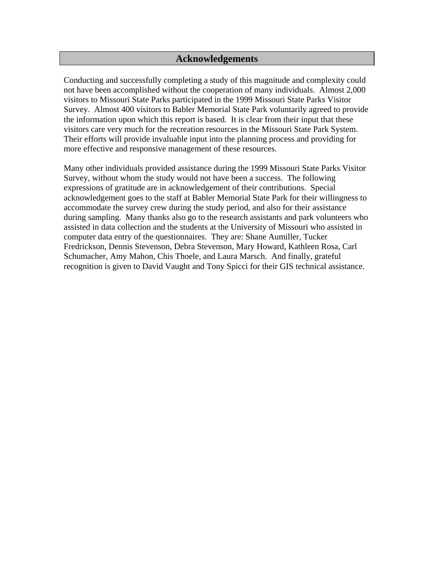## **Acknowledgements**

Conducting and successfully completing a study of this magnitude and complexity could not have been accomplished without the cooperation of many individuals. Almost 2,000 visitors to Missouri State Parks participated in the 1999 Missouri State Parks Visitor Survey. Almost 400 visitors to Babler Memorial State Park voluntarily agreed to provide the information upon which this report is based. It is clear from their input that these visitors care very much for the recreation resources in the Missouri State Park System. Their efforts will provide invaluable input into the planning process and providing for more effective and responsive management of these resources.

Many other individuals provided assistance during the 1999 Missouri State Parks Visitor Survey, without whom the study would not have been a success. The following expressions of gratitude are in acknowledgement of their contributions. Special acknowledgement goes to the staff at Babler Memorial State Park for their willingness to accommodate the survey crew during the study period, and also for their assistance during sampling. Many thanks also go to the research assistants and park volunteers who assisted in data collection and the students at the University of Missouri who assisted in computer data entry of the questionnaires. They are: Shane Aumiller, Tucker Fredrickson, Dennis Stevenson, Debra Stevenson, Mary Howard, Kathleen Rosa, Carl Schumacher, Amy Mahon, Chis Thoele, and Laura Marsch. And finally, grateful recognition is given to David Vaught and Tony Spicci for their GIS technical assistance.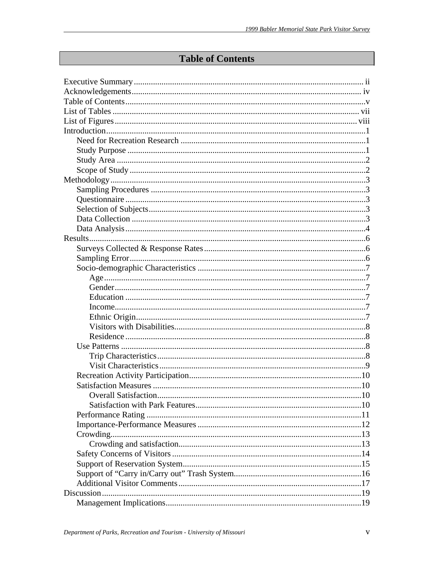# **Table of Contents**

| <b>Overall Satisfaction</b> |  |
|-----------------------------|--|
|                             |  |
|                             |  |
|                             |  |
|                             |  |
|                             |  |
|                             |  |
|                             |  |
|                             |  |
|                             |  |
|                             |  |
|                             |  |
|                             |  |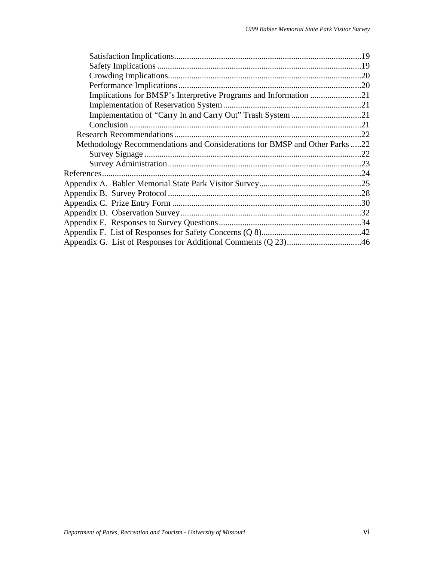| Methodology Recommendations and Considerations for BMSP and Other Parks 22 |  |
|----------------------------------------------------------------------------|--|
|                                                                            |  |
|                                                                            |  |
|                                                                            |  |
|                                                                            |  |
|                                                                            |  |
|                                                                            |  |
|                                                                            |  |
|                                                                            |  |
|                                                                            |  |
|                                                                            |  |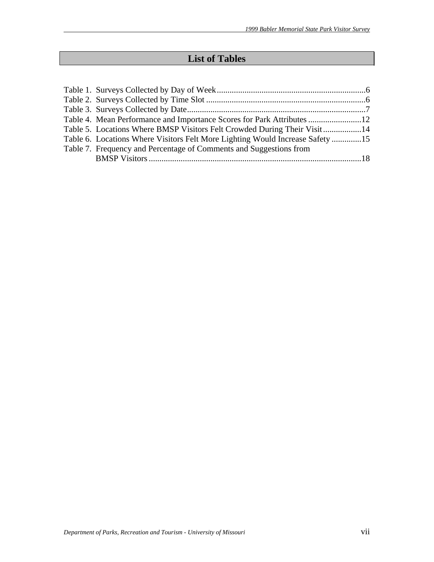# **List of Tables**

| Table 4. Mean Performance and Importance Scores for Park Attributes 12        |  |
|-------------------------------------------------------------------------------|--|
| Table 5. Locations Where BMSP Visitors Felt Crowded During Their Visit14      |  |
| Table 6. Locations Where Visitors Felt More Lighting Would Increase Safety 15 |  |
| Table 7. Frequency and Percentage of Comments and Suggestions from            |  |
|                                                                               |  |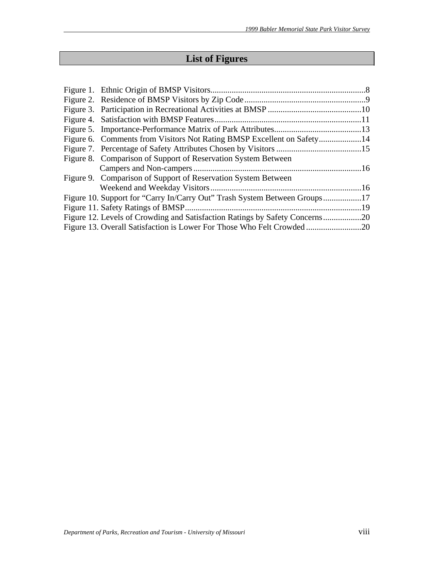# **List of Figures**

| Figure 8. Comparison of Support of Reservation System Between               |  |
|-----------------------------------------------------------------------------|--|
|                                                                             |  |
| Figure 9. Comparison of Support of Reservation System Between               |  |
|                                                                             |  |
| Figure 10. Support for "Carry In/Carry Out" Trash System Between Groups17   |  |
|                                                                             |  |
| Figure 12. Levels of Crowding and Satisfaction Ratings by Safety Concerns20 |  |
|                                                                             |  |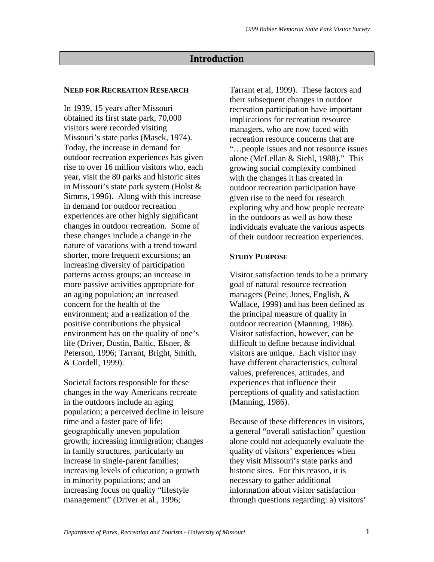### **Introduction**

#### **NEED FOR RECREATION RESEARCH**

In 1939, 15 years after Missouri obtained its first state park, 70,000 visitors were recorded visiting Missouri's state parks (Masek, 1974). Today, the increase in demand for outdoor recreation experiences has given rise to over 16 million visitors who, each year, visit the 80 parks and historic sites in Missouri's state park system (Holst & Simms, 1996). Along with this increase in demand for outdoor recreation experiences are other highly significant changes in outdoor recreation. Some of these changes include a change in the nature of vacations with a trend toward shorter, more frequent excursions; an increasing diversity of participation patterns across groups; an increase in more passive activities appropriate for an aging population; an increased concern for the health of the environment; and a realization of the positive contributions the physical environment has on the quality of one's life (Driver, Dustin, Baltic, Elsner, & Peterson, 1996; Tarrant, Bright, Smith, & Cordell, 1999).

Societal factors responsible for these changes in the way Americans recreate in the outdoors include an aging population; a perceived decline in leisure time and a faster pace of life; geographically uneven population growth; increasing immigration; changes in family structures, particularly an increase in single-parent families; increasing levels of education; a growth in minority populations; and an increasing focus on quality "lifestyle management" (Driver et al., 1996;

Tarrant et al, 1999). These factors and their subsequent changes in outdoor recreation participation have important implications for recreation resource managers, who are now faced with recreation resource concerns that are "…people issues and not resource issues alone (McLellan & Siehl, 1988)." This growing social complexity combined with the changes it has created in outdoor recreation participation have given rise to the need for research exploring why and how people recreate in the outdoors as well as how these individuals evaluate the various aspects of their outdoor recreation experiences.

#### **STUDY PURPOSE**

Visitor satisfaction tends to be a primary goal of natural resource recreation managers (Peine, Jones, English, & Wallace, 1999) and has been defined as the principal measure of quality in outdoor recreation (Manning, 1986). Visitor satisfaction, however, can be difficult to define because individual visitors are unique. Each visitor may have different characteristics, cultural values, preferences, attitudes, and experiences that influence their perceptions of quality and satisfaction (Manning, 1986).

Because of these differences in visitors, a general "overall satisfaction" question alone could not adequately evaluate the quality of visitors' experiences when they visit Missouri's state parks and historic sites. For this reason, it is necessary to gather additional information about visitor satisfaction through questions regarding: a) visitors'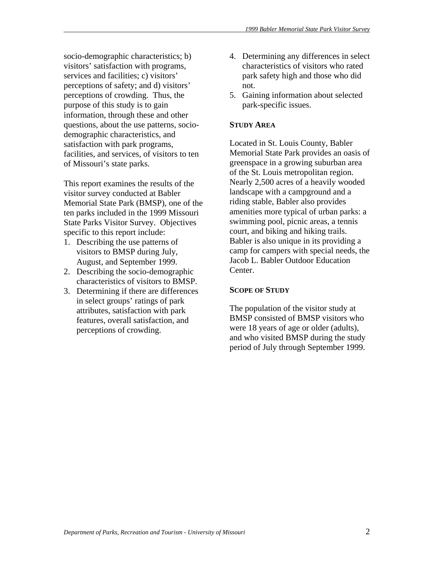socio-demographic characteristics; b) visitors' satisfaction with programs, services and facilities; c) visitors' perceptions of safety; and d) visitors' perceptions of crowding. Thus, the purpose of this study is to gain information, through these and other questions, about the use patterns, sociodemographic characteristics, and satisfaction with park programs, facilities, and services, of visitors to ten of Missouri's state parks.

This report examines the results of the visitor survey conducted at Babler Memorial State Park (BMSP), one of the ten parks included in the 1999 Missouri State Parks Visitor Survey. Objectives specific to this report include:

- 1. Describing the use patterns of visitors to BMSP during July, August, and September 1999.
- 2. Describing the socio-demographic characteristics of visitors to BMSP.
- 3. Determining if there are differences in select groups' ratings of park attributes, satisfaction with park features, overall satisfaction, and perceptions of crowding.
- 4. Determining any differences in select characteristics of visitors who rated park safety high and those who did not.
- 5. Gaining information about selected park-specific issues.

# **STUDY AREA**

Located in St. Louis County, Babler Memorial State Park provides an oasis of greenspace in a growing suburban area of the St. Louis metropolitan region. Nearly 2,500 acres of a heavily wooded landscape with a campground and a riding stable, Babler also provides amenities more typical of urban parks: a swimming pool, picnic areas, a tennis court, and biking and hiking trails. Babler is also unique in its providing a camp for campers with special needs, the Jacob L. Babler Outdoor Education Center.

#### **SCOPE OF STUDY**

The population of the visitor study at BMSP consisted of BMSP visitors who were 18 years of age or older (adults), and who visited BMSP during the study period of July through September 1999.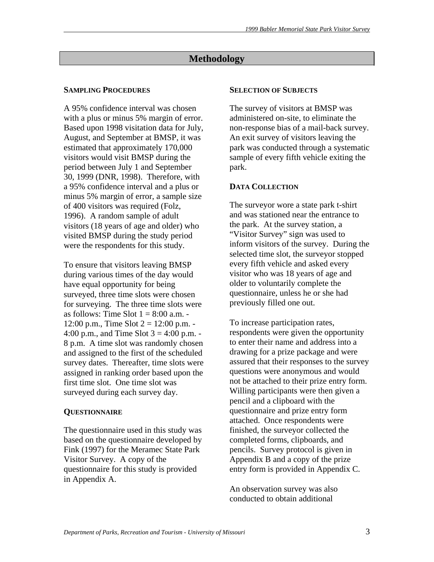# **Methodology**

# **SAMPLING PROCEDURES**

A 95% confidence interval was chosen with a plus or minus 5% margin of error. Based upon 1998 visitation data for July, August, and September at BMSP, it was estimated that approximately 170,000 visitors would visit BMSP during the period between July 1 and September 30, 1999 (DNR, 1998). Therefore, with a 95% confidence interval and a plus or minus 5% margin of error, a sample size of 400 visitors was required (Folz, 1996). A random sample of adult visitors (18 years of age and older) who visited BMSP during the study period were the respondents for this study.

To ensure that visitors leaving BMSP during various times of the day would have equal opportunity for being surveyed, three time slots were chosen for surveying. The three time slots were as follows: Time Slot  $1 = 8:00$  a.m. -12:00 p.m., Time Slot  $2 = 12:00$  p.m. -4:00 p.m., and Time Slot  $3 = 4:00$  p.m. -8 p.m. A time slot was randomly chosen and assigned to the first of the scheduled survey dates. Thereafter, time slots were assigned in ranking order based upon the first time slot. One time slot was surveyed during each survey day.

# **QUESTIONNAIRE**

The questionnaire used in this study was based on the questionnaire developed by Fink (1997) for the Meramec State Park Visitor Survey. A copy of the questionnaire for this study is provided in Appendix A.

#### **SELECTION OF SUBJECTS**

The survey of visitors at BMSP was administered on-site, to eliminate the non-response bias of a mail-back survey. An exit survey of visitors leaving the park was conducted through a systematic sample of every fifth vehicle exiting the park.

#### **DATA COLLECTION**

The surveyor wore a state park t-shirt and was stationed near the entrance to the park. At the survey station, a "Visitor Survey" sign was used to inform visitors of the survey. During the selected time slot, the surveyor stopped every fifth vehicle and asked every visitor who was 18 years of age and older to voluntarily complete the questionnaire, unless he or she had previously filled one out.

To increase participation rates, respondents were given the opportunity to enter their name and address into a drawing for a prize package and were assured that their responses to the survey questions were anonymous and would not be attached to their prize entry form. Willing participants were then given a pencil and a clipboard with the questionnaire and prize entry form attached. Once respondents were finished, the surveyor collected the completed forms, clipboards, and pencils. Survey protocol is given in Appendix B and a copy of the prize entry form is provided in Appendix C.

An observation survey was also conducted to obtain additional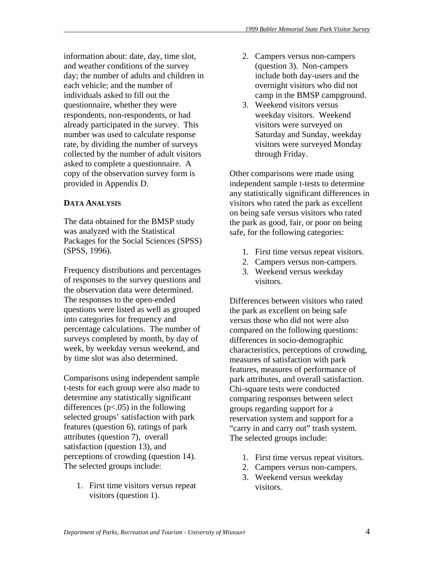information about: date, day, time slot, and weather conditions of the survey day; the number of adults and children in each vehicle; and the number of individuals asked to fill out the questionnaire, whether they were respondents, non-respondents, or had already participated in the survey. This number was used to calculate response rate, by dividing the number of surveys collected by the number of adult visitors asked to complete a questionnaire. A copy of the observation survey form is provided in Appendix D.

# **DATA ANALYSIS**

The data obtained for the BMSP study was analyzed with the Statistical Packages for the Social Sciences (SPSS) (SPSS, 1996).

Frequency distributions and percentages of responses to the survey questions and the observation data were determined. The responses to the open-ended questions were listed as well as grouped into categories for frequency and percentage calculations. The number of surveys completed by month, by day of week, by weekday versus weekend, and by time slot was also determined.

Comparisons using independent sample t-tests for each group were also made to determine any statistically significant differences  $(p<.05)$  in the following selected groups' satisfaction with park features (question 6), ratings of park attributes (question 7), overall satisfaction (question 13), and perceptions of crowding (question 14). The selected groups include:

1. First time visitors versus repeat visitors (question 1).

- 2. Campers versus non-campers (question 3). Non-campers include both day-users and the overnight visitors who did not camp in the BMSP campground.
- 3. Weekend visitors versus weekday visitors. Weekend visitors were surveyed on Saturday and Sunday, weekday visitors were surveyed Monday through Friday.

Other comparisons were made using independent sample t-tests to determine any statistically significant differences in visitors who rated the park as excellent on being safe versus visitors who rated the park as good, fair, or poor on being safe, for the following categories:

- 1. First time versus repeat visitors.
- 2. Campers versus non-campers.
- 3. Weekend versus weekday visitors.

Differences between visitors who rated the park as excellent on being safe versus those who did not were also compared on the following questions: differences in socio-demographic characteristics, perceptions of crowding, measures of satisfaction with park features, measures of performance of park attributes, and overall satisfaction. Chi-square tests were conducted comparing responses between select groups regarding support for a reservation system and support for a "carry in and carry out" trash system. The selected groups include:

- 1. First time versus repeat visitors.
- 2. Campers versus non-campers.
- 3. Weekend versus weekday visitors.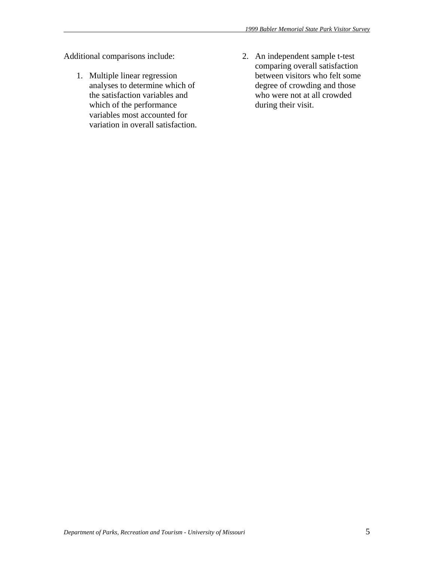Additional comparisons include:

- 1. Multiple linear regression analyses to determine which of the satisfaction variables and which of the performance variables most accounted for variation in overall satisfaction.
- 2. An independent sample t-test comparing overall satisfaction between visitors who felt some degree of crowding and those who were not at all crowded during their visit.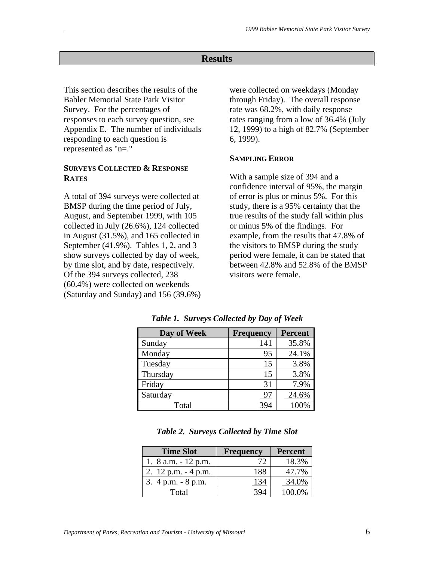# **Results**

This section describes the results of the Babler Memorial State Park Visitor Survey. For the percentages of responses to each survey question, see Appendix E. The number of individuals responding to each question is represented as "n=."

#### **SURVEYS COLLECTED & RESPONSE RATES**

A total of 394 surveys were collected at BMSP during the time period of July, August, and September 1999, with 105 collected in July (26.6%), 124 collected in August (31.5%), and 165 collected in September (41.9%). Tables 1, 2, and 3 show surveys collected by day of week, by time slot, and by date, respectively. Of the 394 surveys collected, 238 (60.4%) were collected on weekends (Saturday and Sunday) and 156 (39.6%) were collected on weekdays (Monday through Friday). The overall response rate was 68.2%, with daily response rates ranging from a low of 36.4% (July 12, 1999) to a high of 82.7% (September 6, 1999).

#### **SAMPLING ERROR**

With a sample size of 394 and a confidence interval of 95%, the margin of error is plus or minus 5%. For this study, there is a 95% certainty that the true results of the study fall within plus or minus 5% of the findings. For example, from the results that 47.8% of the visitors to BMSP during the study period were female, it can be stated that between 42.8% and 52.8% of the BMSP visitors were female.

| Day of Week | <b>Frequency</b> | <b>Percent</b> |
|-------------|------------------|----------------|
| Sunday      | 141              | 35.8%          |
| Monday      | 95               | 24.1%          |
| Tuesday     | 15               | 3.8%           |
| Thursday    | 15               | 3.8%           |
| Friday      | 31               | 7.9%           |
| Saturday    |                  | 24.6%          |
| Total       |                  | 100%           |

*Table 1. Surveys Collected by Day of Week* 

| <b>Time Slot</b>       | <b>Percent</b><br><b>Frequency</b> |        |  |
|------------------------|------------------------------------|--------|--|
| 1. $8$ a.m. $-12$ p.m. |                                    | 18.3%  |  |
| 2. $12$ p.m. $-4$ p.m. | 188                                | 47.7%  |  |
| 3. $4 p.m. - 8 p.m.$   |                                    | 34.0%  |  |
| Total                  |                                    | 100.0% |  |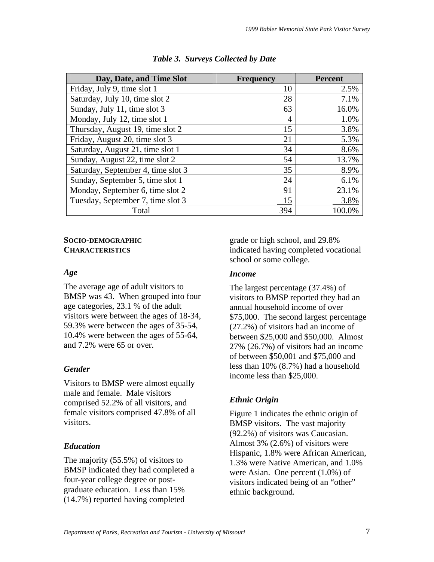| Day, Date, and Time Slot           | <b>Frequency</b> | <b>Percent</b> |  |
|------------------------------------|------------------|----------------|--|
| Friday, July 9, time slot 1        | 10               | 2.5%           |  |
| Saturday, July 10, time slot 2     | 28               | 7.1%           |  |
| Sunday, July 11, time slot 3       | 63               | 16.0%          |  |
| Monday, July 12, time slot 1       | $\overline{4}$   | 1.0%           |  |
| Thursday, August 19, time slot 2   | 15               | 3.8%           |  |
| Friday, August 20, time slot 3     | 21               | 5.3%           |  |
| Saturday, August 21, time slot 1   | 34               | 8.6%           |  |
| Sunday, August 22, time slot 2     | 54               | 13.7%          |  |
| Saturday, September 4, time slot 3 | 35               | 8.9%           |  |
| Sunday, September 5, time slot 1   | 24               | 6.1%           |  |
| Monday, September 6, time slot 2   | 91               | 23.1%          |  |
| Tuesday, September 7, time slot 3  | 15               | 3.8%           |  |
| Total                              | 394              | 100.0%         |  |

|  |  | Table 3. Surveys Collected by Date |
|--|--|------------------------------------|
|--|--|------------------------------------|

# **SOCIO-DEMOGRAPHIC CHARACTERISTICS**

### *Age*

The average age of adult visitors to BMSP was 43. When grouped into four age categories, 23.1 % of the adult visitors were between the ages of 18-34, 59.3% were between the ages of 35-54, 10.4% were between the ages of 55-64, and 7.2% were 65 or over.

# *Gender*

Visitors to BMSP were almost equally male and female. Male visitors comprised 52.2% of all visitors, and female visitors comprised 47.8% of all visitors.

# *Education*

The majority (55.5%) of visitors to BMSP indicated they had completed a four-year college degree or postgraduate education. Less than 15% (14.7%) reported having completed

grade or high school, and 29.8% indicated having completed vocational school or some college.

# *Income*

The largest percentage (37.4%) of visitors to BMSP reported they had an annual household income of over \$75,000. The second largest percentage (27.2%) of visitors had an income of between \$25,000 and \$50,000. Almost 27% (26.7%) of visitors had an income of between \$50,001 and \$75,000 and less than 10% (8.7%) had a household income less than \$25,000.

# *Ethnic Origin*

Figure 1 indicates the ethnic origin of BMSP visitors. The vast majority (92.2%) of visitors was Caucasian. Almost 3% (2.6%) of visitors were Hispanic, 1.8% were African American, 1.3% were Native American, and 1.0% were Asian. One percent (1.0%) of visitors indicated being of an "other" ethnic background.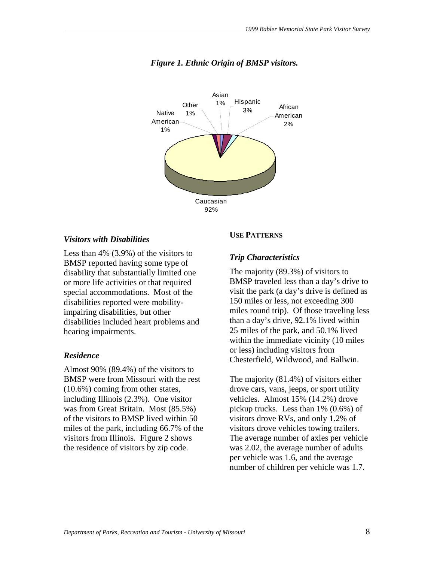

#### *Figure 1. Ethnic Origin of BMSP visitors.*

#### *Visitors with Disabilities*

Less than 4% (3.9%) of the visitors to BMSP reported having some type of disability that substantially limited one or more life activities or that required special accommodations. Most of the disabilities reported were mobilityimpairing disabilities, but other disabilities included heart problems and hearing impairments.

#### *Residence*

Almost 90% (89.4%) of the visitors to BMSP were from Missouri with the rest (10.6%) coming from other states, including Illinois (2.3%). One visitor was from Great Britain. Most (85.5%) of the visitors to BMSP lived within 50 miles of the park, including 66.7% of the visitors from Illinois. Figure 2 shows the residence of visitors by zip code.

#### **USE PATTERNS**

#### *Trip Characteristics*

The majority (89.3%) of visitors to BMSP traveled less than a day's drive to visit the park (a day's drive is defined as 150 miles or less, not exceeding 300 miles round trip). Of those traveling less than a day's drive, 92.1% lived within 25 miles of the park, and 50.1% lived within the immediate vicinity (10 miles or less) including visitors from Chesterfield, Wildwood, and Ballwin.

The majority (81.4%) of visitors either drove cars, vans, jeeps, or sport utility vehicles. Almost 15% (14.2%) drove pickup trucks. Less than 1% (0.6%) of visitors drove RVs, and only 1.2% of visitors drove vehicles towing trailers. The average number of axles per vehicle was 2.02, the average number of adults per vehicle was 1.6, and the average number of children per vehicle was 1.7.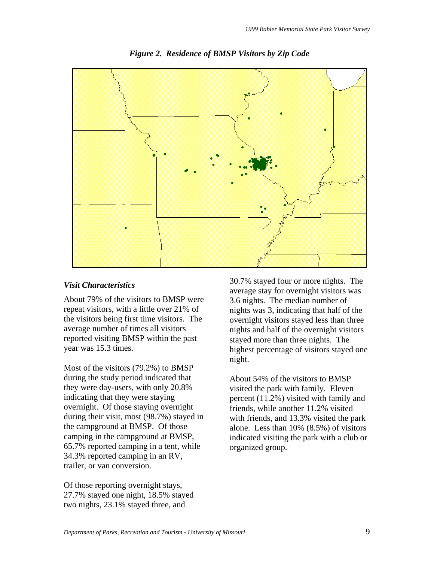

*Figure 2. Residence of BMSP Visitors by Zip Code* 

## *Visit Characteristics*

About 79% of the visitors to BMSP were repeat visitors, with a little over 21% of the visitors being first time visitors. The average number of times all visitors reported visiting BMSP within the past year was 15.3 times.

Most of the visitors (79.2%) to BMSP during the study period indicated that they were day-users, with only 20.8% indicating that they were staying overnight. Of those staying overnight during their visit, most (98.7%) stayed in the campground at BMSP. Of those camping in the campground at BMSP, 65.7% reported camping in a tent, while 34.3% reported camping in an RV, trailer, or van conversion.

Of those reporting overnight stays, 27.7% stayed one night, 18.5% stayed two nights, 23.1% stayed three, and

30.7% stayed four or more nights. The average stay for overnight visitors was 3.6 nights. The median number of nights was 3, indicating that half of the overnight visitors stayed less than three nights and half of the overnight visitors stayed more than three nights. The highest percentage of visitors stayed one night.

About 54% of the visitors to BMSP visited the park with family. Eleven percent (11.2%) visited with family and friends, while another 11.2% visited with friends, and 13.3% visited the park alone. Less than 10% (8.5%) of visitors indicated visiting the park with a club or organized group.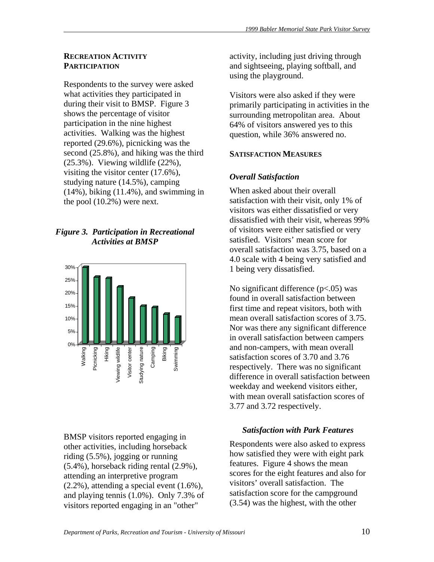#### **RECREATION ACTIVITY PARTICIPATION**

Respondents to the survey were asked what activities they participated in during their visit to BMSP. Figure 3 shows the percentage of visitor participation in the nine highest activities. Walking was the highest reported (29.6%), picnicking was the second (25.8%), and hiking was the third (25.3%). Viewing wildlife (22%), visiting the visitor center (17.6%), studying nature (14.5%), camping (14%), biking (11.4%), and swimming in the pool (10.2%) were next.

# *Figure 3. Participation in Recreational Activities at BMSP*



BMSP visitors reported engaging in other activities, including horseback riding (5.5%), jogging or running (5.4%), horseback riding rental (2.9%), attending an interpretive program (2.2%), attending a special event (1.6%), and playing tennis (1.0%). Only 7.3% of visitors reported engaging in an "other"

activity, including just driving through and sightseeing, playing softball, and using the playground.

Visitors were also asked if they were primarily participating in activities in the surrounding metropolitan area. About 64% of visitors answered yes to this question, while 36% answered no.

# **SATISFACTION MEASURES**

# *Overall Satisfaction*

When asked about their overall satisfaction with their visit, only 1% of visitors was either dissatisfied or very dissatisfied with their visit, whereas 99% of visitors were either satisfied or very satisfied. Visitors' mean score for overall satisfaction was 3.75, based on a 4.0 scale with 4 being very satisfied and 1 being very dissatisfied.

No significant difference (p<.05) was found in overall satisfaction between first time and repeat visitors, both with mean overall satisfaction scores of 3.75. Nor was there any significant difference in overall satisfaction between campers and non-campers, with mean overall satisfaction scores of 3.70 and 3.76 respectively. There was no significant difference in overall satisfaction between weekday and weekend visitors either, with mean overall satisfaction scores of 3.77 and 3.72 respectively.

# *Satisfaction with Park Features*

Respondents were also asked to express how satisfied they were with eight park features. Figure 4 shows the mean scores for the eight features and also for visitors' overall satisfaction. The satisfaction score for the campground (3.54) was the highest, with the other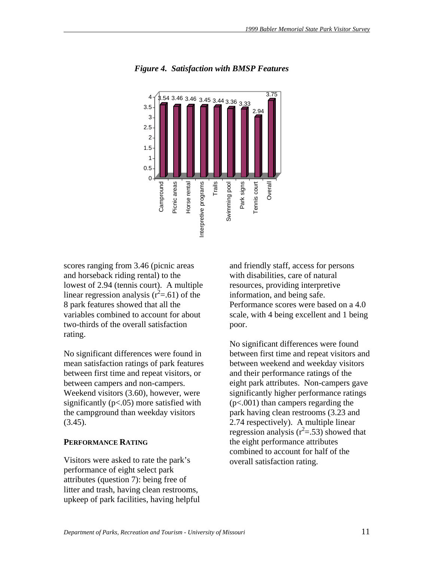

*Figure 4. Satisfaction with BMSP Features* 

scores ranging from 3.46 (picnic areas and horseback riding rental) to the lowest of 2.94 (tennis court). A multiple linear regression analysis  $(r^2=0.61)$  of the 8 park features showed that all the variables combined to account for about two-thirds of the overall satisfaction rating.

No significant differences were found in mean satisfaction ratings of park features between first time and repeat visitors, or between campers and non-campers. Weekend visitors (3.60), however, were significantly  $(p<.05)$  more satisfied with the campground than weekday visitors  $(3.45).$ 

#### **PERFORMANCE RATING**

Visitors were asked to rate the park's performance of eight select park attributes (question 7): being free of litter and trash, having clean restrooms, upkeep of park facilities, having helpful and friendly staff, access for persons with disabilities, care of natural resources, providing interpretive information, and being safe. Performance scores were based on a 4.0 scale, with 4 being excellent and 1 being poor.

No significant differences were found between first time and repeat visitors and between weekend and weekday visitors and their performance ratings of the eight park attributes. Non-campers gave significantly higher performance ratings (p<.001) than campers regarding the park having clean restrooms (3.23 and 2.74 respectively). A multiple linear regression analysis  $(r^2=.53)$  showed that the eight performance attributes combined to account for half of the overall satisfaction rating.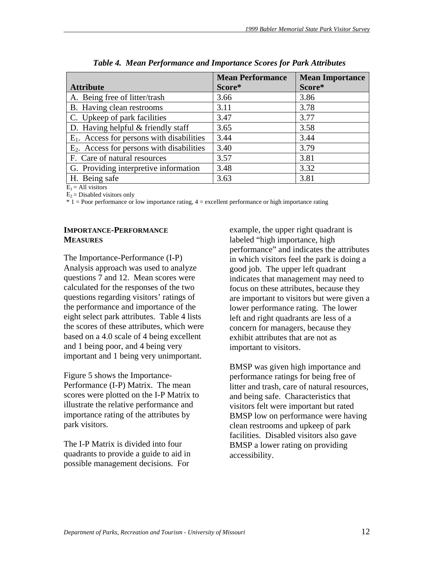|                                              | <b>Mean Performance</b> | <b>Mean Importance</b> |  |
|----------------------------------------------|-------------------------|------------------------|--|
| <b>Attribute</b>                             | Score*                  | Score*                 |  |
| A. Being free of litter/trash                | 3.66                    | 3.86                   |  |
| B. Having clean restrooms                    | 3.11                    | 3.78                   |  |
| C. Upkeep of park facilities                 | 3.47                    | 3.77                   |  |
| D. Having helpful $&$ friendly staff         | 3.65                    | 3.58                   |  |
| $E_1$ . Access for persons with disabilities | 3.44                    | 3.44                   |  |
| $E2$ . Access for persons with disabilities  | 3.40                    | 3.79                   |  |
| F. Care of natural resources                 | 3.57                    | 3.81                   |  |
| G. Providing interpretive information        | 3.48                    | 3.32                   |  |
| H. Being safe                                | 3.63                    | 3.81                   |  |

| Table 4. Mean Performance and Importance Scores for Park Attributes |  |  |
|---------------------------------------------------------------------|--|--|
|                                                                     |  |  |

 $E_1$  = All visitors

 $E_2$  = Disabled visitors only

\* 1 = Poor performance or low importance rating, 4 = excellent performance or high importance rating

# **IMPORTANCE-PERFORMANCE MEASURES**

The Importance-Performance (I-P) Analysis approach was used to analyze questions 7 and 12. Mean scores were calculated for the responses of the two questions regarding visitors' ratings of the performance and importance of the eight select park attributes. Table 4 lists the scores of these attributes, which were based on a 4.0 scale of 4 being excellent and 1 being poor, and 4 being very important and 1 being very unimportant.

Figure 5 shows the Importance-Performance (I-P) Matrix. The mean scores were plotted on the I-P Matrix to illustrate the relative performance and importance rating of the attributes by park visitors.

The I-P Matrix is divided into four quadrants to provide a guide to aid in possible management decisions. For

example, the upper right quadrant is labeled "high importance, high performance" and indicates the attributes in which visitors feel the park is doing a good job. The upper left quadrant indicates that management may need to focus on these attributes, because they are important to visitors but were given a lower performance rating. The lower left and right quadrants are less of a concern for managers, because they exhibit attributes that are not as important to visitors.

BMSP was given high importance and performance ratings for being free of litter and trash, care of natural resources, and being safe. Characteristics that visitors felt were important but rated BMSP low on performance were having clean restrooms and upkeep of park facilities. Disabled visitors also gave BMSP a lower rating on providing accessibility.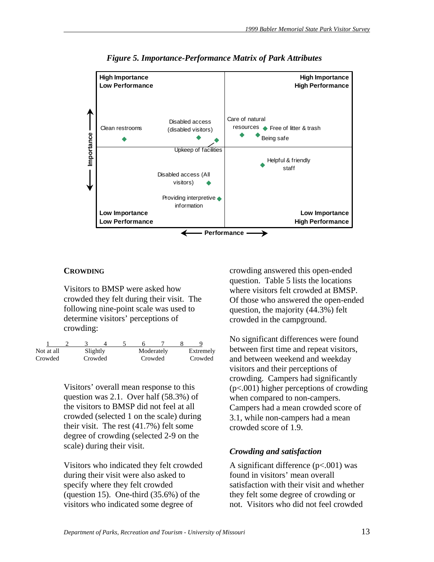

*Figure 5. Importance-Performance Matrix of Park Attributes* 

### **CROWDING**

Visitors to BMSP were asked how crowded they felt during their visit. The following nine-point scale was used to determine visitors' perceptions of crowding:

| Not at all |  | Slightly |         | Moderately | Extremely |
|------------|--|----------|---------|------------|-----------|
| Crowded    |  | Crowded  | Crowded |            | Crowded   |

Visitors' overall mean response to this question was 2.1. Over half (58.3%) of the visitors to BMSP did not feel at all crowded (selected 1 on the scale) during their visit. The rest (41.7%) felt some degree of crowding (selected 2-9 on the scale) during their visit.

Visitors who indicated they felt crowded during their visit were also asked to specify where they felt crowded (question 15). One-third  $(35.6%)$  of the visitors who indicated some degree of

crowding answered this open-ended question. Table 5 lists the locations where visitors felt crowded at BMSP. Of those who answered the open-ended question, the majority (44.3%) felt crowded in the campground.

No significant differences were found between first time and repeat visitors, and between weekend and weekday visitors and their perceptions of crowding. Campers had significantly (p<.001) higher perceptions of crowding when compared to non-campers. Campers had a mean crowded score of 3.1, while non-campers had a mean crowded score of 1.9.

# *Crowding and satisfaction*

A significant difference  $(p<.001)$  was found in visitors' mean overall satisfaction with their visit and whether they felt some degree of crowding or not. Visitors who did not feel crowded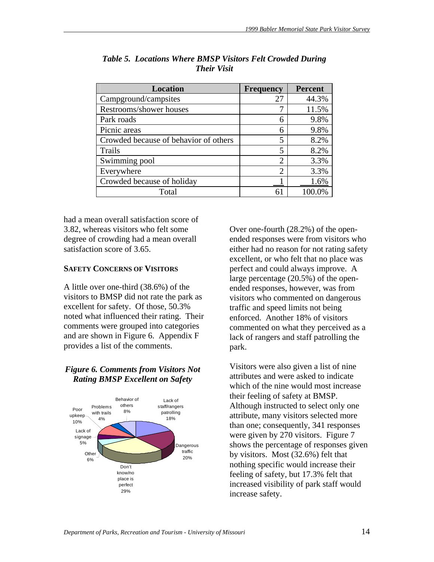| <b>Location</b>                       | <b>Frequency</b>            | <b>Percent</b> |
|---------------------------------------|-----------------------------|----------------|
| Campground/campsites                  | 27                          | 44.3%          |
| Restrooms/shower houses               |                             | 11.5%          |
| Park roads                            | 6                           | 9.8%           |
| Picnic areas                          | 6                           | 9.8%           |
| Crowded because of behavior of others | 5                           | 8.2%           |
| Trails                                | 5                           | 8.2%           |
| Swimming pool                         | $\mathcal{D}_{\mathcal{A}}$ | 3.3%           |
| Everywhere                            | $\overline{2}$              | 3.3%           |
| Crowded because of holiday            |                             | 1.6%           |
| Total                                 | 61                          | 100.0%         |

*Table 5. Locations Where BMSP Visitors Felt Crowded During Their Visit* 

had a mean overall satisfaction score of 3.82, whereas visitors who felt some degree of crowding had a mean overall satisfaction score of 3.65.

# **SAFETY CONCERNS OF VISITORS**

A little over one-third (38.6%) of the visitors to BMSP did not rate the park as excellent for safety. Of those, 50.3% noted what influenced their rating. Their comments were grouped into categories and are shown in Figure 6. Appendix F provides a list of the comments.

# *Figure 6. Comments from Visitors Not Rating BMSP Excellent on Safety*



Over one-fourth (28.2%) of the openended responses were from visitors who either had no reason for not rating safety excellent, or who felt that no place was perfect and could always improve. A large percentage (20.5%) of the openended responses, however, was from visitors who commented on dangerous traffic and speed limits not being enforced. Another 18% of visitors commented on what they perceived as a lack of rangers and staff patrolling the park.

Visitors were also given a list of nine attributes and were asked to indicate which of the nine would most increase their feeling of safety at BMSP. Although instructed to select only one attribute, many visitors selected more than one; consequently, 341 responses were given by 270 visitors. Figure 7 shows the percentage of responses given by visitors. Most (32.6%) felt that nothing specific would increase their feeling of safety, but 17.3% felt that increased visibility of park staff would increase safety.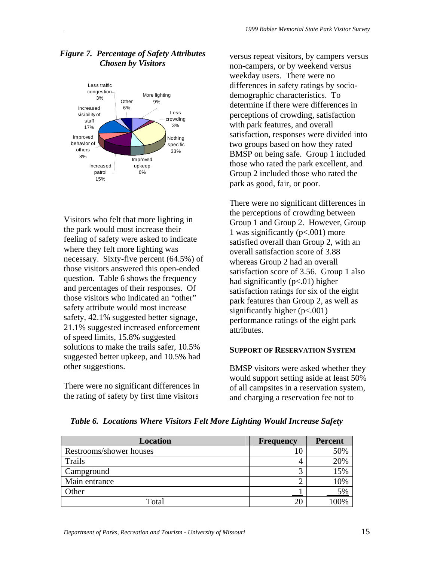

# *Figure 7. Percentage of Safety Attributes Chosen by Visitors*

Visitors who felt that more lighting in the park would most increase their feeling of safety were asked to indicate where they felt more lighting was necessary. Sixty-five percent (64.5%) of those visitors answered this open-ended question. Table 6 shows the frequency and percentages of their responses. Of those visitors who indicated an "other" safety attribute would most increase safety, 42.1% suggested better signage, 21.1% suggested increased enforcement of speed limits, 15.8% suggested solutions to make the trails safer, 10.5% suggested better upkeep, and 10.5% had other suggestions.

There were no significant differences in the rating of safety by first time visitors

versus repeat visitors, by campers versus non-campers, or by weekend versus weekday users. There were no differences in safety ratings by sociodemographic characteristics. To determine if there were differences in perceptions of crowding, satisfaction with park features, and overall satisfaction, responses were divided into two groups based on how they rated BMSP on being safe. Group 1 included those who rated the park excellent, and Group 2 included those who rated the park as good, fair, or poor.

There were no significant differences in the perceptions of crowding between Group 1 and Group 2. However, Group 1 was significantly (p<.001) more satisfied overall than Group 2, with an overall satisfaction score of 3.88 whereas Group 2 had an overall satisfaction score of 3.56. Group 1 also had significantly  $(p<.01)$  higher satisfaction ratings for six of the eight park features than Group 2, as well as significantly higher (p<.001) performance ratings of the eight park attributes.

# **SUPPORT OF RESERVATION SYSTEM**

BMSP visitors were asked whether they would support setting aside at least 50% of all campsites in a reservation system, and charging a reservation fee not to

| Location                | <b>Frequency</b> | <b>Percent</b> |
|-------------------------|------------------|----------------|
| Restrooms/shower houses |                  | 50%            |
| Trails                  |                  | 20%            |
| Campground              |                  | 15%            |
| Main entrance           |                  | 10%            |
| Other                   |                  | 5%             |
| Total                   |                  | $00\%$         |

*Table 6. Locations Where Visitors Felt More Lighting Would Increase Safety*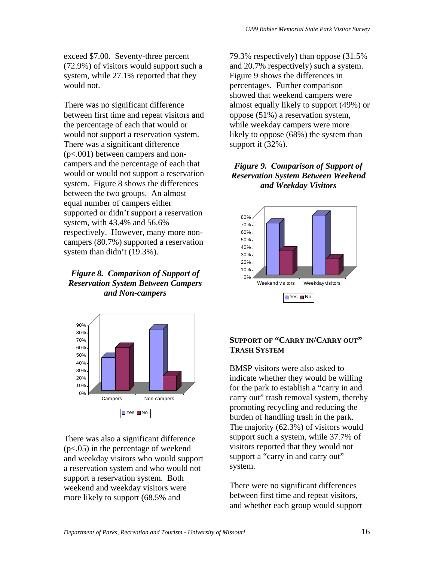exceed \$7.00. Seventy-three percent (72.9%) of visitors would support such a system, while 27.1% reported that they would not.

There was no significant difference between first time and repeat visitors and the percentage of each that would or would not support a reservation system. There was a significant difference (p<.001) between campers and noncampers and the percentage of each that would or would not support a reservation system. Figure 8 shows the differences between the two groups. An almost equal number of campers either supported or didn't support a reservation system, with 43.4% and 56.6% respectively. However, many more noncampers (80.7%) supported a reservation system than didn't (19.3%).

*Figure 8. Comparison of Support of Reservation System Between Campers and Non-campers* 



There was also a significant difference (p<.05) in the percentage of weekend and weekday visitors who would support a reservation system and who would not support a reservation system. Both weekend and weekday visitors were more likely to support (68.5% and

79.3% respectively) than oppose (31.5% and 20.7% respectively) such a system. Figure 9 shows the differences in percentages. Further comparison showed that weekend campers were almost equally likely to support (49%) or oppose (51%) a reservation system, while weekday campers were more likely to oppose (68%) the system than support it (32%).

# *Figure 9. Comparison of Support of Reservation System Between Weekend and Weekday Visitors*



### **SUPPORT OF "CARRY IN/CARRY OUT" TRASH SYSTEM**

BMSP visitors were also asked to indicate whether they would be willing for the park to establish a "carry in and carry out" trash removal system, thereby promoting recycling and reducing the burden of handling trash in the park. The majority (62.3%) of visitors would support such a system, while 37.7% of visitors reported that they would not support a "carry in and carry out" system.

There were no significant differences between first time and repeat visitors, and whether each group would support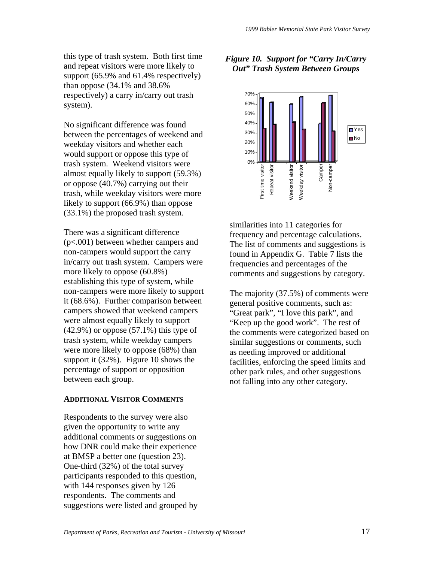this type of trash system. Both first time and repeat visitors were more likely to support (65.9% and 61.4% respectively) than oppose (34.1% and 38.6% respectively) a carry in/carry out trash system).

No significant difference was found between the percentages of weekend and weekday visitors and whether each would support or oppose this type of trash system. Weekend visitors were almost equally likely to support (59.3%) or oppose (40.7%) carrying out their trash, while weekday visitors were more likely to support (66.9%) than oppose (33.1%) the proposed trash system.

There was a significant difference (p<.001) between whether campers and non-campers would support the carry in/carry out trash system. Campers were more likely to oppose (60.8%) establishing this type of system, while non-campers were more likely to support it (68.6%). Further comparison between campers showed that weekend campers were almost equally likely to support  $(42.9\%)$  or oppose  $(57.1\%)$  this type of trash system, while weekday campers were more likely to oppose (68%) than support it (32%). Figure 10 shows the percentage of support or opposition between each group.

#### **ADDITIONAL VISITOR COMMENTS**

Respondents to the survey were also given the opportunity to write any additional comments or suggestions on how DNR could make their experience at BMSP a better one (question 23). One-third (32%) of the total survey participants responded to this question, with 144 responses given by 126 respondents. The comments and suggestions were listed and grouped by

# *Figure 10. Support for "Carry In/Carry Out" Trash System Between Groups*



similarities into 11 categories for frequency and percentage calculations. The list of comments and suggestions is found in Appendix G. Table 7 lists the frequencies and percentages of the comments and suggestions by category.

The majority (37.5%) of comments were general positive comments, such as: "Great park", "I love this park", and "Keep up the good work". The rest of the comments were categorized based on similar suggestions or comments, such as needing improved or additional facilities, enforcing the speed limits and other park rules, and other suggestions not falling into any other category.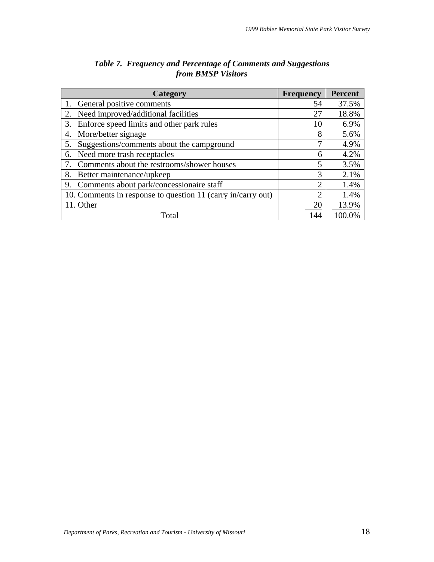| Category                                                     | <b>Frequency</b> | <b>Percent</b> |
|--------------------------------------------------------------|------------------|----------------|
| General positive comments                                    | 54               | 37.5%          |
| Need improved/additional facilities<br>2.                    | 27               | 18.8%          |
| Enforce speed limits and other park rules<br>3.              | 10               | 6.9%           |
| More/better signage<br>4.                                    | 8                | 5.6%           |
| Suggestions/comments about the campground<br>5.              | 7                | 4.9%           |
| Need more trash receptacles<br>6.                            | 6                | 4.2%           |
| Comments about the restrooms/shower houses                   | 5                | 3.5%           |
| 8.<br>Better maintenance/upkeep                              | 3                | 2.1%           |
| Comments about park/concessionaire staff<br>9.               | $\overline{2}$   | 1.4%           |
| 10. Comments in response to question 11 (carry in/carry out) | 2                | 1.4%           |
| 11. Other                                                    | 20               | 13.9%          |
| Total                                                        | 144              | 100.0%         |

# *Table 7. Frequency and Percentage of Comments and Suggestions from BMSP Visitors*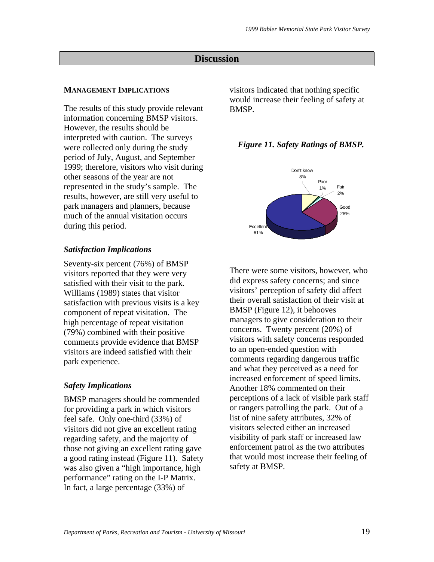# **Discussion**

#### **MANAGEMENT IMPLICATIONS**

The results of this study provide relevant information concerning BMSP visitors. However, the results should be interpreted with caution. The surveys were collected only during the study period of July, August, and September 1999; therefore, visitors who visit during other seasons of the year are not represented in the study's sample. The results, however, are still very useful to park managers and planners, because much of the annual visitation occurs during this period.

#### *Satisfaction Implications*

Seventy-six percent (76%) of BMSP visitors reported that they were very satisfied with their visit to the park. Williams (1989) states that visitor satisfaction with previous visits is a key component of repeat visitation. The high percentage of repeat visitation (79%) combined with their positive comments provide evidence that BMSP visitors are indeed satisfied with their park experience.

#### *Safety Implications*

BMSP managers should be commended for providing a park in which visitors feel safe. Only one-third (33%) of visitors did not give an excellent rating regarding safety, and the majority of those not giving an excellent rating gave a good rating instead (Figure 11). Safety was also given a "high importance, high performance" rating on the I-P Matrix. In fact, a large percentage (33%) of

visitors indicated that nothing specific would increase their feeling of safety at BMSP.

#### *Figure 11. Safety Ratings of BMSP.*



There were some visitors, however, who did express safety concerns; and since visitors' perception of safety did affect their overall satisfaction of their visit at BMSP (Figure 12), it behooves managers to give consideration to their concerns. Twenty percent (20%) of visitors with safety concerns responded to an open-ended question with comments regarding dangerous traffic and what they perceived as a need for increased enforcement of speed limits. Another 18% commented on their perceptions of a lack of visible park staff or rangers patrolling the park. Out of a list of nine safety attributes, 32% of visitors selected either an increased visibility of park staff or increased law enforcement patrol as the two attributes that would most increase their feeling of safety at BMSP.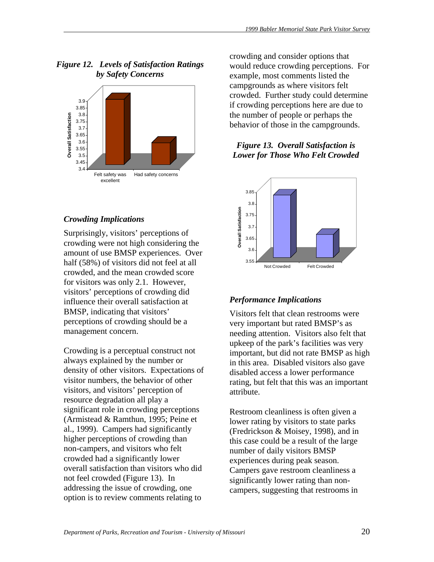

# *Figure 12. Levels of Satisfaction Ratings by Safety Concerns*

# *Crowding Implications*

Surprisingly, visitors' perceptions of crowding were not high considering the amount of use BMSP experiences. Over half (58%) of visitors did not feel at all crowded, and the mean crowded score for visitors was only 2.1. However, visitors' perceptions of crowding did influence their overall satisfaction at BMSP, indicating that visitors' perceptions of crowding should be a management concern.

Crowding is a perceptual construct not always explained by the number or density of other visitors. Expectations of visitor numbers, the behavior of other visitors, and visitors' perception of resource degradation all play a significant role in crowding perceptions (Armistead & Ramthun, 1995; Peine et al., 1999). Campers had significantly higher perceptions of crowding than non-campers, and visitors who felt crowded had a significantly lower overall satisfaction than visitors who did not feel crowded (Figure 13). In addressing the issue of crowding, one option is to review comments relating to

crowding and consider options that would reduce crowding perceptions. For example, most comments listed the campgrounds as where visitors felt crowded. Further study could determine if crowding perceptions here are due to the number of people or perhaps the behavior of those in the campgrounds.

# *Figure 13. Overall Satisfaction is Lower for Those Who Felt Crowded*



# *Performance Implications*

Visitors felt that clean restrooms were very important but rated BMSP's as needing attention. Visitors also felt that upkeep of the park's facilities was very important, but did not rate BMSP as high in this area. Disabled visitors also gave disabled access a lower performance rating, but felt that this was an important attribute.

Restroom cleanliness is often given a lower rating by visitors to state parks (Fredrickson & Moisey, 1998), and in this case could be a result of the large number of daily visitors BMSP experiences during peak season. Campers gave restroom cleanliness a significantly lower rating than noncampers, suggesting that restrooms in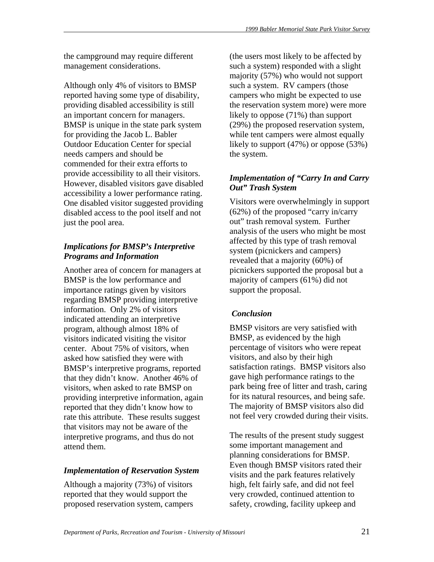the campground may require different management considerations.

Although only 4% of visitors to BMSP reported having some type of disability, providing disabled accessibility is still an important concern for managers. BMSP is unique in the state park system for providing the Jacob L. Babler Outdoor Education Center for special needs campers and should be commended for their extra efforts to provide accessibility to all their visitors. However, disabled visitors gave disabled accessibility a lower performance rating. One disabled visitor suggested providing disabled access to the pool itself and not just the pool area.

# *Implications for BMSP's Interpretive Programs and Information*

Another area of concern for managers at BMSP is the low performance and importance ratings given by visitors regarding BMSP providing interpretive information. Only 2% of visitors indicated attending an interpretive program, although almost 18% of visitors indicated visiting the visitor center. About 75% of visitors, when asked how satisfied they were with BMSP's interpretive programs, reported that they didn't know. Another 46% of visitors, when asked to rate BMSP on providing interpretive information, again reported that they didn't know how to rate this attribute. These results suggest that visitors may not be aware of the interpretive programs, and thus do not attend them.

# *Implementation of Reservation System*

Although a majority (73%) of visitors reported that they would support the proposed reservation system, campers

(the users most likely to be affected by such a system) responded with a slight majority (57%) who would not support such a system. RV campers (those campers who might be expected to use the reservation system more) were more likely to oppose (71%) than support (29%) the proposed reservation system, while tent campers were almost equally likely to support (47%) or oppose (53%) the system.

# *Implementation of "Carry In and Carry Out" Trash System*

Visitors were overwhelmingly in support (62%) of the proposed "carry in/carry out" trash removal system. Further analysis of the users who might be most affected by this type of trash removal system (picnickers and campers) revealed that a majority (60%) of picnickers supported the proposal but a majority of campers (61%) did not support the proposal.

# *Conclusion*

BMSP visitors are very satisfied with BMSP, as evidenced by the high percentage of visitors who were repeat visitors, and also by their high satisfaction ratings. BMSP visitors also gave high performance ratings to the park being free of litter and trash, caring for its natural resources, and being safe. The majority of BMSP visitors also did not feel very crowded during their visits.

The results of the present study suggest some important management and planning considerations for BMSP. Even though BMSP visitors rated their visits and the park features relatively high, felt fairly safe, and did not feel very crowded, continued attention to safety, crowding, facility upkeep and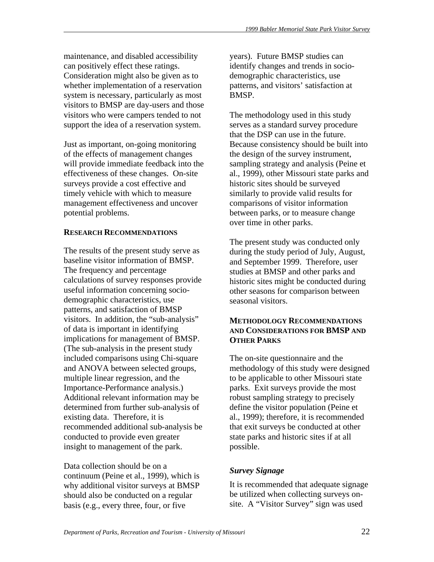maintenance, and disabled accessibility can positively effect these ratings. Consideration might also be given as to whether implementation of a reservation system is necessary, particularly as most visitors to BMSP are day-users and those visitors who were campers tended to not support the idea of a reservation system.

Just as important, on-going monitoring of the effects of management changes will provide immediate feedback into the effectiveness of these changes. On-site surveys provide a cost effective and timely vehicle with which to measure management effectiveness and uncover potential problems.

### **RESEARCH RECOMMENDATIONS**

The results of the present study serve as baseline visitor information of BMSP. The frequency and percentage calculations of survey responses provide useful information concerning sociodemographic characteristics, use patterns, and satisfaction of BMSP visitors. In addition, the "sub-analysis" of data is important in identifying implications for management of BMSP. (The sub-analysis in the present study included comparisons using Chi-square and ANOVA between selected groups, multiple linear regression, and the Importance-Performance analysis.) Additional relevant information may be determined from further sub-analysis of existing data. Therefore, it is recommended additional sub-analysis be conducted to provide even greater insight to management of the park.

Data collection should be on a continuum (Peine et al., 1999), which is why additional visitor surveys at BMSP should also be conducted on a regular basis (e.g., every three, four, or five

years). Future BMSP studies can identify changes and trends in sociodemographic characteristics, use patterns, and visitors' satisfaction at BMSP.

The methodology used in this study serves as a standard survey procedure that the DSP can use in the future. Because consistency should be built into the design of the survey instrument, sampling strategy and analysis (Peine et al., 1999), other Missouri state parks and historic sites should be surveyed similarly to provide valid results for comparisons of visitor information between parks, or to measure change over time in other parks.

The present study was conducted only during the study period of July, August, and September 1999. Therefore, user studies at BMSP and other parks and historic sites might be conducted during other seasons for comparison between seasonal visitors.

#### **METHODOLOGY RECOMMENDATIONS AND CONSIDERATIONS FOR BMSP AND OTHER PARKS**

The on-site questionnaire and the methodology of this study were designed to be applicable to other Missouri state parks. Exit surveys provide the most robust sampling strategy to precisely define the visitor population (Peine et al., 1999); therefore, it is recommended that exit surveys be conducted at other state parks and historic sites if at all possible.

# *Survey Signage*

It is recommended that adequate signage be utilized when collecting surveys onsite. A "Visitor Survey" sign was used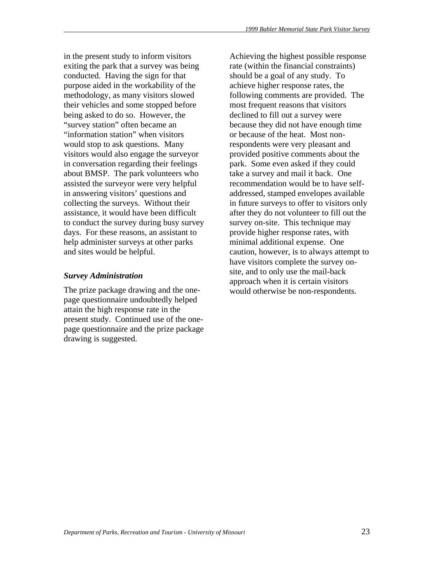in the present study to inform visitors exiting the park that a survey was being conducted. Having the sign for that purpose aided in the workability of the methodology, as many visitors slowed their vehicles and some stopped before being asked to do so. However, the "survey station" often became an "information station" when visitors would stop to ask questions. Many visitors would also engage the surveyor in conversation regarding their feelings about BMSP. The park volunteers who assisted the surveyor were very helpful in answering visitors' questions and collecting the surveys. Without their assistance, it would have been difficult to conduct the survey during busy survey days. For these reasons, an assistant to help administer surveys at other parks and sites would be helpful.

### *Survey Administration*

The prize package drawing and the onepage questionnaire undoubtedly helped attain the high response rate in the present study. Continued use of the onepage questionnaire and the prize package drawing is suggested.

Achieving the highest possible response rate (within the financial constraints) should be a goal of any study. To achieve higher response rates, the following comments are provided. The most frequent reasons that visitors declined to fill out a survey were because they did not have enough time or because of the heat. Most nonrespondents were very pleasant and provided positive comments about the park. Some even asked if they could take a survey and mail it back. One recommendation would be to have selfaddressed, stamped envelopes available in future surveys to offer to visitors only after they do not volunteer to fill out the survey on-site. This technique may provide higher response rates, with minimal additional expense. One caution, however, is to always attempt to have visitors complete the survey onsite, and to only use the mail-back approach when it is certain visitors would otherwise be non-respondents.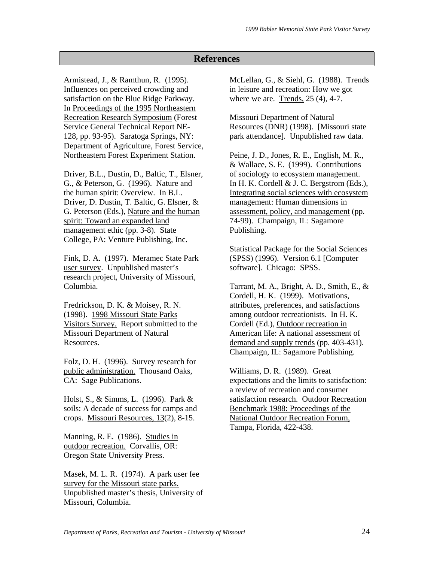# **References**

Armistead, J., & Ramthun, R. (1995). Influences on perceived crowding and satisfaction on the Blue Ridge Parkway. In Proceedings of the 1995 Northeastern Recreation Research Symposium (Forest Service General Technical Report NE-128, pp. 93-95). Saratoga Springs, NY: Department of Agriculture, Forest Service, Northeastern Forest Experiment Station.

Driver, B.L., Dustin, D., Baltic, T., Elsner, G., & Peterson, G. (1996). Nature and the human spirit: Overview. In B.L. Driver, D. Dustin, T. Baltic, G. Elsner, & G. Peterson (Eds.), Nature and the human spirit: Toward an expanded land management ethic (pp. 3-8). State College, PA: Venture Publishing, Inc.

Fink, D. A. (1997). Meramec State Park user survey. Unpublished master's research project, University of Missouri, Columbia.

Fredrickson, D. K. & Moisey, R. N. (1998). 1998 Missouri State Parks Visitors Survey. Report submitted to the Missouri Department of Natural Resources.

Folz, D. H. (1996). Survey research for public administration. Thousand Oaks, CA: Sage Publications.

Holst, S., & Simms, L. (1996). Park & soils: A decade of success for camps and crops. Missouri Resources, 13(2), 8-15.

Manning, R. E. (1986). Studies in outdoor recreation. Corvallis, OR: Oregon State University Press.

Masek, M. L. R. (1974). A park user fee survey for the Missouri state parks. Unpublished master's thesis, University of Missouri, Columbia.

McLellan, G., & Siehl, G. (1988). Trends in leisure and recreation: How we got where we are. Trends, 25 (4), 4-7.

Missouri Department of Natural Resources (DNR) (1998). [Missouri state park attendance]. Unpublished raw data.

Peine, J. D., Jones, R. E., English, M. R., & Wallace, S. E. (1999). Contributions of sociology to ecosystem management. In H. K. Cordell & J. C. Bergstrom (Eds.), Integrating social sciences with ecosystem management: Human dimensions in assessment, policy, and management (pp. 74-99). Champaign, IL: Sagamore Publishing.

Statistical Package for the Social Sciences (SPSS) (1996). Version 6.1 [Computer software]. Chicago: SPSS.

Tarrant, M. A., Bright, A. D., Smith, E., & Cordell, H. K. (1999). Motivations, attributes, preferences, and satisfactions among outdoor recreationists. In H. K. Cordell (Ed.), Outdoor recreation in American life: A national assessment of demand and supply trends (pp. 403-431). Champaign, IL: Sagamore Publishing.

Williams, D. R. (1989). Great expectations and the limits to satisfaction: a review of recreation and consumer satisfaction research. Outdoor Recreation Benchmark 1988: Proceedings of the National Outdoor Recreation Forum, Tampa, Florida, 422-438.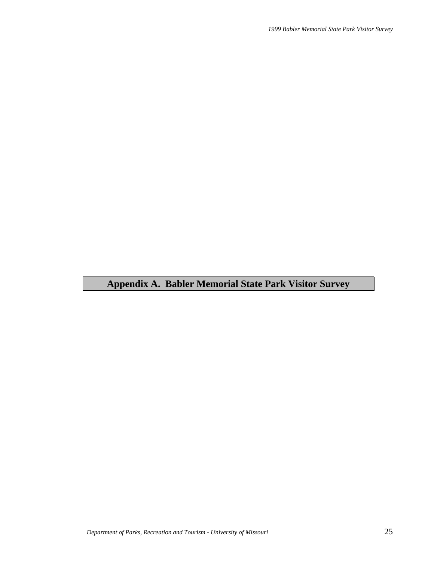# **Appendix A. Babler Memorial State Park Visitor Survey**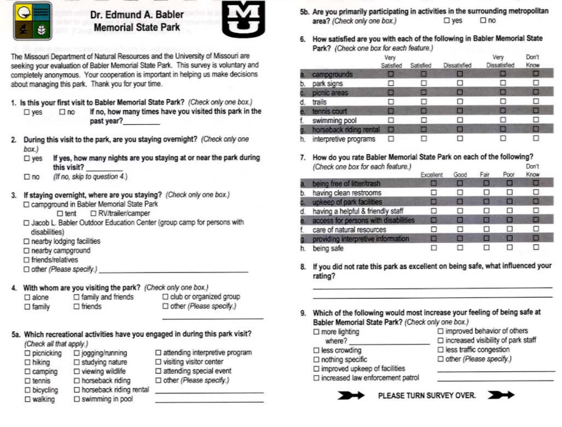

Dr. Edmund A. Babler **Memorial State Park** 



The Missouri Department of Natural Resources and the University of Missouri are seeking your evaluation of Babler Memorial State Park. This survey is voluntary and completely anonymous. Your cooperation is important in helping us make decisions about managing this park. Thank you for your time.

- 1. Is this your first visit to Babler Memorial State Park? (Check only one box.)
	- If no, how many times have you visited this park in the  $\square$  yes  $\square$  no past year?
- 2. During this visit to the park, are you staying overnight? (Check only one box.)
	- If yes, how many nights are you staying at or near the park during  $\square$  yes this visit?
	- (If no, skip to question 4.)  $\square$  no
- If staying overnight, where are you staying? (Check only one box.) 3. □ campground in Babler Memorial State Park
	- □ RV/trailer/camper  $\Box$  tent
	- □ Jacob L. Babler Outdoor Education Center (group camp for persons with disabilities)
	- $\Box$  nearby lodging facilities
	- □ nearby campground
	- $\Box$  friends/relatives
	- □ other (Please specify.)
- With whom are you visiting the park? (Check only one box.)

 $\Box$  family and friends  $\Box$  alone  $\Box$  friends  $\square$  family

- club or organized group Dother (Please specify.)
- 5a. Which recreational activities have you engaged in during this park visit?

| (Check all that apply.) |                                |   |
|-------------------------|--------------------------------|---|
| D picnicking            | □ jogging/running              | I |
| $\Box$ hiking           | □ studying nature              |   |
| $\Box$ camping          | $\square$ viewing wildlife     |   |
| $\square$ tennis        | □ horseback riding             |   |
| D bicycling             | $\Box$ horseback riding rental |   |
| $\square$ walking       | $\square$ swimming in pool     |   |

attending interpretive program visiting visitor center attending special event other (Please specify.)

- 5b. Are you primarily participating in activities in the surrounding metropolitan area? (Check only one box.)  $\square$  ves  $\square$  no
- 6. How satisfied are you with each of the following in Babler Memorial State Park? (Check one box for each feature.)

|    |                         | Very<br>Satisfied | Satisfied | Dissatisfied | Very<br>Dissatisfied | Don't<br>Know |
|----|-------------------------|-------------------|-----------|--------------|----------------------|---------------|
| a. | campgrounds             |                   |           |              |                      |               |
| D. | park signs              |                   |           |              |                      | U             |
|    | picnic areas            |                   | s         |              |                      | e             |
| đ. | trails                  | н                 |           |              |                      | ⊔             |
| е  | tennis court            |                   | 匾         |              |                      | ⊟             |
| f. | swimming pool           | o                 |           |              |                      |               |
|    | horseback riding rental |                   |           |              |                      | п             |
| h. | interpretive programs   |                   |           |              |                      |               |

7. How do you rate Babler Memorial State Park on each of the following? (Check one box for each feature.) Don't

|    |                                      | Excellent | Good | Fair | Poor | Know |  |
|----|--------------------------------------|-----------|------|------|------|------|--|
|    | a. being free of litter/trash        |           |      |      | п    | ш    |  |
| b. | having clean restrooms               |           |      |      | . .  | п    |  |
|    | upkeep of park facilities            | ш         | ш    |      | 匾    | □    |  |
| đ. | having a helpful & friendly staff    |           |      |      | ш    |      |  |
|    | access for persons with disabilities | ۰         |      |      | ▬    | o    |  |
| t. | care of natural resources            | П         |      |      | н    | п    |  |
| g  | providing interpretive information   |           |      |      | □    | o    |  |
|    | being safe                           |           |      |      | . .  |      |  |

- 8. If you did not rate this park as excellent on being safe, what influenced your rating?
- 9. Which of the following would most increase your feeling of being safe at Babler Memorial State Park? (Check only one box.)

 $\Box$  more lighting where?  $\square$  less crowding  $\Box$  nothing specific

□ improved behavior of others

- $\square$  increased visibility of park staff
- □ less traffic congestion
- □ other (Please specify.)

 $\square$  improved upkeep of facilities

□ increased law enforcement patrol

PLEASE TURN SURVEY OVER.

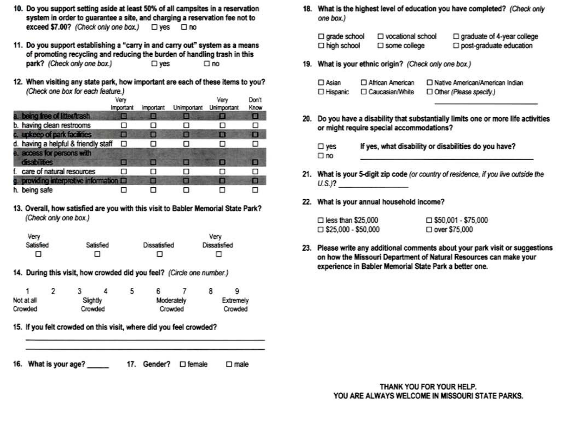- 10. Do you support setting aside at least 50% of all campsites in a reservation system in order to guarantee a site, and charging a reservation fee not to exceed \$7.00? (Check only one box.) □ yes □ no
- 11. Do you support establishing a "carry in and carry out" system as a means of promoting recycling and reducing the burden of handling trash in this park? (Check only one box.)  $\square$  yes  $\square$ no
- 12. When visiting any state park, how important are each of these items to you? (Check one box for each feature.)

|                                         | ٧er<br>Important | <i><b>Important</b></i> | Unimportant | Verv<br>Unimportant | Don't<br>Know |
|-----------------------------------------|------------------|-------------------------|-------------|---------------------|---------------|
| a. being free of litter/trash           | 框                |                         | ⊟           |                     | о             |
| b. having clean restrooms               |                  |                         |             |                     |               |
| c. upkeep of park facilities            |                  | <b>ISS</b>              |             | л                   | o             |
| d. having a helpful & friendly staff    | п                |                         |             | п                   | п             |
| e. access for persons with              |                  |                         |             |                     |               |
| disabilities                            | в                |                         | ▬           | в                   | Е             |
| care of natural resources               |                  |                         |             |                     | Π             |
| g. providing interpretive information D |                  |                         | ▬           | o                   | О             |
| h. being safe                           |                  |                         |             |                     |               |

13. Overall, how satisfied are you with this visit to Babler Memorial State Park? (Check only one box.)

| Very      |           |              | Very         |
|-----------|-----------|--------------|--------------|
| Satisfied | Satisfied | Dissatisfied | Dissatisfied |
| □         | ◻         | ◻            |              |

14. During this visit, how crowded did you feel? (Circle one number.)

|            |  |          | э |            |           |
|------------|--|----------|---|------------|-----------|
| Not at all |  | Slightly |   | Moderately | Extremely |
| Crowded    |  | Crowded  |   | Crowded    | Crowded   |

15. If you felt crowded on this visit, where did you feel crowded?

16. What is your age? 17. Gender? □ female  $\Box$  male

the control of the control of the control of the control of the control of

18. What is the highest level of education you have completed? (Check only one box.)

| $\Box$ grade school | □ vocational school    | $\Box$ graduate of 4-year college |
|---------------------|------------------------|-----------------------------------|
| $\Box$ high school  | $\square$ some college | post-graduate education           |

19. What is your ethnic origin? (Check only one box.)

| $\Box$ Asian | □ African American | □ Native American/American Indian |
|--------------|--------------------|-----------------------------------|
| D Hispanic   | □ Caucasian/White  | Other (Please specify.)           |

- 20. Do you have a disability that substantially limits one or more life activities or might require special accommodations?
	- If yes, what disability or disabilities do you have?  $\square$  yes  $\Box$  no
- 21. What is your 5-digit zip code (or country of residence, if you live outside the  $U.S.$ )?
- 22. What is your annual household income?

| $\Box$ less than \$25,000  | $\Box$ \$50,001 - \$75,000 |
|----------------------------|----------------------------|
| $\Box$ \$25,000 - \$50,000 | $\Box$ over \$75,000       |

23. Please write any additional comments about your park visit or suggestions on how the Missouri Department of Natural Resources can make your experience in Babler Memorial State Park a better one.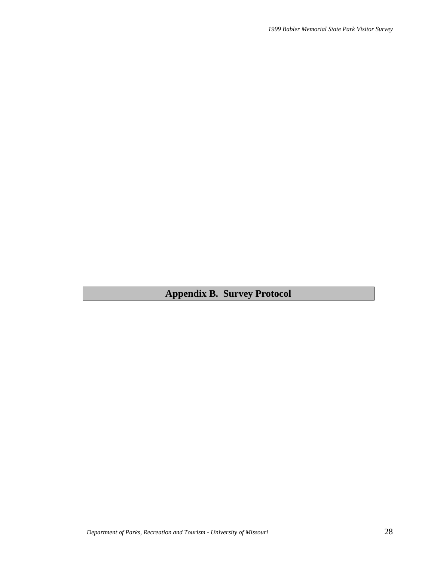**Appendix B. Survey Protocol**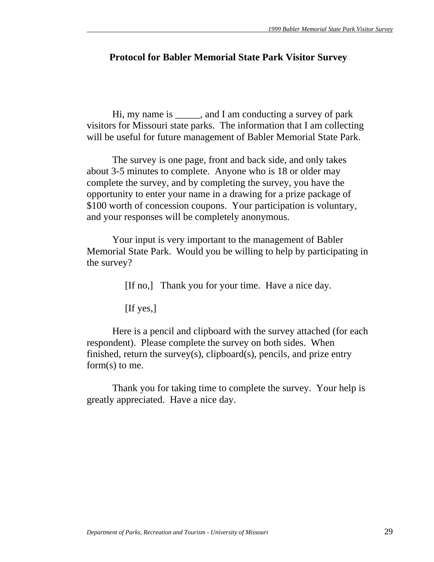# **Protocol for Babler Memorial State Park Visitor Survey**

 Hi, my name is \_\_\_\_\_, and I am conducting a survey of park visitors for Missouri state parks. The information that I am collecting will be useful for future management of Babler Memorial State Park.

 The survey is one page, front and back side, and only takes about 3-5 minutes to complete. Anyone who is 18 or older may complete the survey, and by completing the survey, you have the opportunity to enter your name in a drawing for a prize package of \$100 worth of concession coupons. Your participation is voluntary, and your responses will be completely anonymous.

 Your input is very important to the management of Babler Memorial State Park. Would you be willing to help by participating in the survey?

[If no,] Thank you for your time. Have a nice day.

[If yes,]

 Here is a pencil and clipboard with the survey attached (for each respondent). Please complete the survey on both sides. When finished, return the survey(s), clipboard(s), pencils, and prize entry form(s) to me.

 Thank you for taking time to complete the survey. Your help is greatly appreciated. Have a nice day.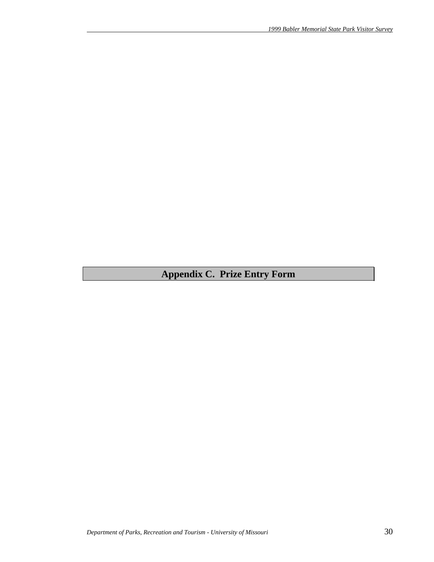# **Appendix C. Prize Entry Form**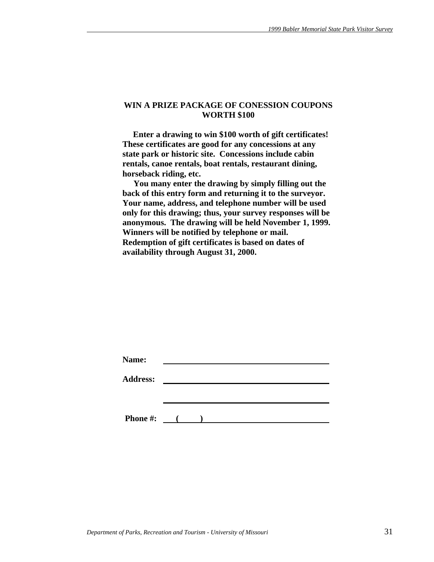#### **WIN A PRIZE PACKAGE OF CONESSION COUPONS WORTH \$100**

 **Enter a drawing to win \$100 worth of gift certificates! These certificates are good for any concessions at any state park or historic site. Concessions include cabin rentals, canoe rentals, boat rentals, restaurant dining, horseback riding, etc.** 

 **You many enter the drawing by simply filling out the back of this entry form and returning it to the surveyor. Your name, address, and telephone number will be used only for this drawing; thus, your survey responses will be anonymous. The drawing will be held November 1, 1999. Winners will be notified by telephone or mail. Redemption of gift certificates is based on dates of availability through August 31, 2000.** 

| Name:           |                   |  |  |  |
|-----------------|-------------------|--|--|--|
| <b>Address:</b> |                   |  |  |  |
|                 |                   |  |  |  |
|                 |                   |  |  |  |
| <b>Phone #:</b> | $\sim$ 100 $\sim$ |  |  |  |
|                 |                   |  |  |  |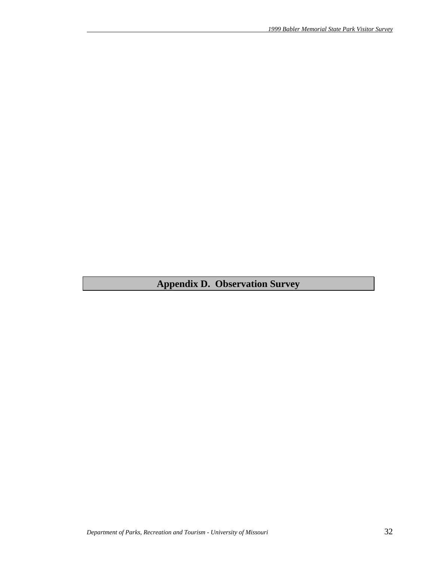**Appendix D. Observation Survey**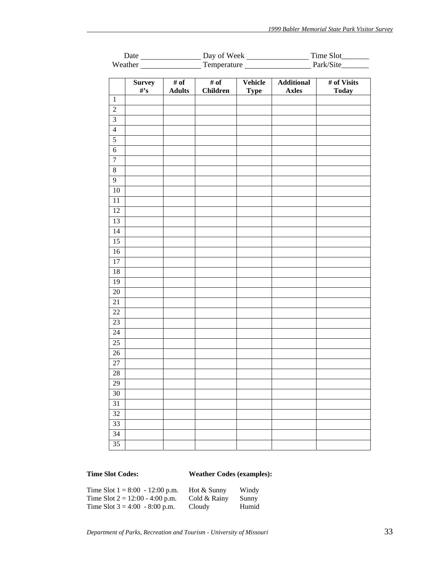|                         | Date                     | Day of Week                                  |                         |                        | Time Slot_________<br>$\overline{\phantom{a}}$ |                               |
|-------------------------|--------------------------|----------------------------------------------|-------------------------|------------------------|------------------------------------------------|-------------------------------|
|                         |                          |                                              |                         |                        |                                                | Weather Temperature Park/Site |
|                         | <b>Survey</b><br>$\#$ 's | $\overline{\# \text{ of }}$<br><b>Adults</b> | # of<br><b>Children</b> | Vehicle<br><b>Type</b> | <b>Additional</b><br><b>Axles</b>              | # of Visits<br><b>Today</b>   |
| $1\,$                   |                          |                                              |                         |                        |                                                |                               |
| $\sqrt{2}$              |                          |                                              |                         |                        |                                                |                               |
| $\overline{\mathbf{3}}$ |                          |                                              |                         |                        |                                                |                               |
| $\overline{4}$          |                          |                                              |                         |                        |                                                |                               |
| $\overline{5}$          |                          |                                              |                         |                        |                                                |                               |
| $\overline{6}$          |                          |                                              |                         |                        |                                                |                               |
| $\overline{7}$          |                          |                                              |                         |                        |                                                |                               |
| $\overline{8}$          |                          |                                              |                         |                        |                                                |                               |
| $\overline{9}$          |                          |                                              |                         |                        |                                                |                               |
| $10\,$                  |                          |                                              |                         |                        |                                                |                               |
| $11\,$                  |                          |                                              |                         |                        |                                                |                               |
| 12                      |                          |                                              |                         |                        |                                                |                               |
| 13                      |                          |                                              |                         |                        |                                                |                               |
| 14                      |                          |                                              |                         |                        |                                                |                               |
| $\overline{15}$         |                          |                                              |                         |                        |                                                |                               |
| 16                      |                          |                                              |                         |                        |                                                |                               |
| $17\,$                  |                          |                                              |                         |                        |                                                |                               |
| 18                      |                          |                                              |                         |                        |                                                |                               |
| 19                      |                          |                                              |                         |                        |                                                |                               |
| $20\,$                  |                          |                                              |                         |                        |                                                |                               |
| 21                      |                          |                                              |                         |                        |                                                |                               |
| 22                      |                          |                                              |                         |                        |                                                |                               |
| $23\,$                  |                          |                                              |                         |                        |                                                |                               |
| 24                      |                          |                                              |                         |                        |                                                |                               |
| $25\,$                  |                          |                                              |                         |                        |                                                |                               |
| $26\,$                  |                          |                                              |                         |                        |                                                |                               |
| $\overline{27}$         |                          |                                              |                         |                        |                                                |                               |
| $28\,$                  |                          |                                              |                         |                        |                                                |                               |
| 29                      |                          |                                              |                         |                        |                                                |                               |
| 30                      |                          |                                              |                         |                        |                                                |                               |
| 31                      |                          |                                              |                         |                        |                                                |                               |
| 32                      |                          |                                              |                         |                        |                                                |                               |
| 33                      |                          |                                              |                         |                        |                                                |                               |
| 34                      |                          |                                              |                         |                        |                                                |                               |
| 35                      |                          |                                              |                         |                        |                                                |                               |
|                         |                          |                                              |                         |                        |                                                |                               |

# **Time Slot Codes: Weather Codes (examples):**

| Time Slot $1 = 8:00 - 12:00$ p.m. | Hot & Sunny  | Windy |
|-----------------------------------|--------------|-------|
| Time Slot $2 = 12:00 - 4:00$ p.m. | Cold & Rainy | Sunny |
| Time Slot $3 = 4:00 - 8:00$ p.m.  | Cloudy       | Humid |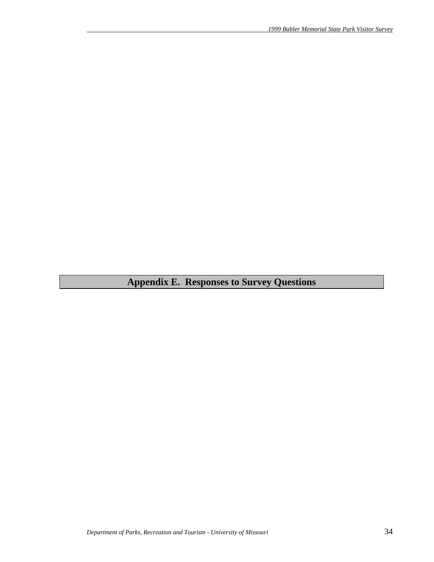# **Appendix E. Responses to Survey Questions**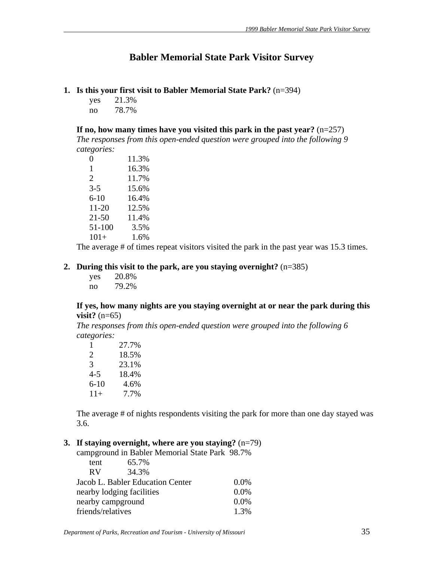# **Babler Memorial State Park Visitor Survey**

- **1. Is this your first visit to Babler Memorial State Park?** (n=394)
	- yes 21.3% no 78.7%

**If no, how many times have you visited this park in the past year?** (n=257) *The responses from this open-ended question were grouped into the following 9 categories:*

| 0         | 11.3% |
|-----------|-------|
| 1         | 16.3% |
| 2         | 11.7% |
| $3 - 5$   | 15.6% |
| $6 - 10$  | 16.4% |
| $11 - 20$ | 12.5% |
| $21 - 50$ | 11.4% |
| 51-100    | 3.5%  |
| $101+$    | 1.6%  |

The average # of times repeat visitors visited the park in the past year was 15.3 times.

### **2. During this visit to the park, are you staying overnight?** (n=385)

| yes | 20.8% |
|-----|-------|
| no  | 79.2% |

#### **If yes, how many nights are you staying overnight at or near the park during this visit?** (n=65)

*The responses from this open-ended question were grouped into the following 6 categories:*

| 1                     | 27.7% |
|-----------------------|-------|
| $\mathcal{D}_{\cdot}$ | 18.5% |
| 3                     | 23.1% |
| $4 - 5$               | 18.4% |
| $6 - 10$              | 4.6%  |
| $11+$                 | 7.7%  |

The average # of nights respondents visiting the park for more than one day stayed was 3.6.

#### **3. If staying overnight, where are you staying?** (n=79)

 campground in Babler Memorial State Park 98.7% tent 65.7% RV 34.3% Jacob L. Babler Education Center 0.0% nearby lodging facilities 0.0% nearby campground 0.0% friends/relatives 1.3%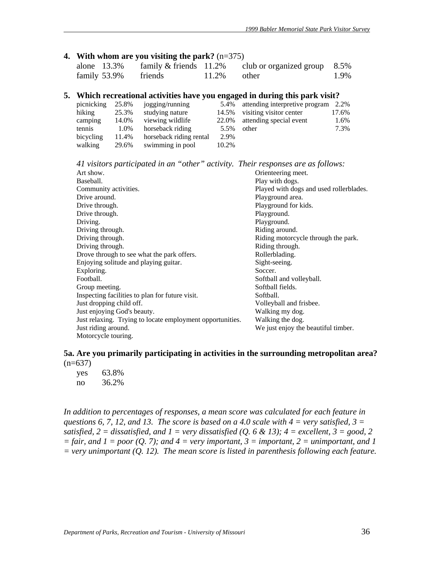#### **4. With whom are you visiting the park?** (n=375)

| alone 13.3%  | family $&$ friends 11.2% |                | club or organized group $8.5\%$ |      |
|--------------|--------------------------|----------------|---------------------------------|------|
| family 53.9% | friends                  | $11.2\%$ other |                                 | 1.9% |

#### **5. Which recreational activities have you engaged in during this park visit?**

| picnicking | 25.8% | jogging/running         | 5.4%  | attending interpretive program | 2.2%  |
|------------|-------|-------------------------|-------|--------------------------------|-------|
| hiking     | 25.3% | studying nature         | 14.5% | visiting visitor center        | 17.6% |
| camping    | 14.0% | viewing wildlife        | 22.0% | attending special event        | 1.6%  |
| tennis     | 1.0%  | horseback riding        | 5.5%  | other                          | 7.3%  |
| bicycling  | 11.4% | horseback riding rental | 2.9%  |                                |       |
| walking    | 29.6% | swimming in pool        | 10.2% |                                |       |

*41 visitors participated in an "other" activity. Their responses are as follows:*

| Art show.                                                 | Orienteering meet.                      |
|-----------------------------------------------------------|-----------------------------------------|
| Baseball.                                                 | Play with dogs.                         |
| Community activities.                                     | Played with dogs and used rollerblades. |
| Drive around.                                             | Playground area.                        |
| Drive through.                                            | Playground for kids.                    |
| Drive through.                                            | Playground.                             |
| Driving.                                                  | Playground.                             |
| Driving through.                                          | Riding around.                          |
| Driving through.                                          | Riding motorcycle through the park.     |
| Driving through.                                          | Riding through.                         |
| Drove through to see what the park offers.                | Rollerblading.                          |
| Enjoying solitude and playing guitar.                     | Sight-seeing.                           |
| Exploring.                                                | Soccer.                                 |
| Football.                                                 | Softball and volleyball.                |
| Group meeting.                                            | Softball fields.                        |
| Inspecting facilities to plan for future visit.           | Softball.                               |
| Just dropping child off.                                  | Volleyball and frisbee.                 |
| Just enjoying God's beauty.                               | Walking my dog.                         |
| Just relaxing. Trying to locate employment opportunities. | Walking the dog.                        |
| Just riding around.                                       | We just enjoy the beautiful timber.     |
| Motorcycle touring.                                       |                                         |

#### **5a. Are you primarily participating in activities in the surrounding metropolitan area?**  $(n=637)$

| yes | 63.8% |
|-----|-------|
| no  | 36.2% |

In addition to percentages of responses, a mean score was calculated for each feature in *questions 6, 7, 12, and 13. The score is based on a 4.0 scale with 4 = very satisfied, 3 = satisfied,*  $2 =$  *dissatisfied, and*  $1 =$  *very dissatisfied (Q. 6 & 13);*  $4 =$  *excellent,*  $3 =$  *good,* 2  $=$  fair, and  $1 =$  poor (Q, 7); and  $4 =$  very important,  $3 =$  important,  $2 =$  unimportant, and 1 *= very unimportant (Q. 12). The mean score is listed in parenthesis following each feature.*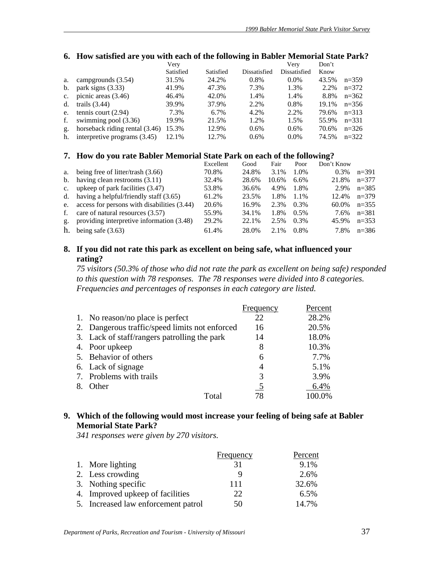#### **6. How satisfied are you with each of the following in Babler Memorial State Park?**

|             |                                | Very      |           |              | Verv         | Don't |           |
|-------------|--------------------------------|-----------|-----------|--------------|--------------|-------|-----------|
|             |                                | Satisfied | Satisfied | Dissatisfied | Dissatisfied | Know  |           |
| а.          | campgrounds (3.54)             | 31.5%     | 24.2%     | 0.8%         | $0.0\%$      | 43.5% | $n=359$   |
| b.          | park signs $(3.33)$            | 41.9%     | 47.3%     | 7.3%         | 1.3%         | 2.2%  | $n=372$   |
| $c_{\cdot}$ | picnic areas $(3.46)$          | 46.4%     | 42.0%     | 1.4%         | 1.4%         | 8.8%  | $n=362$   |
| $d_{\cdot}$ | trails $(3.44)$                | 39.9%     | 37.9%     | 2.2%         | 0.8%         | 19.1% | $n=356$   |
| e.          | tennis court $(2.94)$          | 7.3%      | $6.7\%$   | 4.2%         | 2.2%         | 79.6% | $n=313$   |
| f.          | swimming pool (3.36)           | 19.9%     | 21.5%     | 1.2%         | 1.5%         | 55.9% | $n = 331$ |
| g.          | horseback riding rental (3.46) | 15.3%     | 12.9%     | $0.6\%$      | 0.6%         | 70.6% | $n=326$   |
| h.          | interpretive programs (3.45)   | 12.1%     | 12.7%     | $0.6\%$      | $0.0\%$      | 74.5% | $n=322$   |

#### **7. How do you rate Babler Memorial State Park on each of the following?**

|             |                                             | Excellent | Good  | Fair    | Poor    | Don't Know |           |
|-------------|---------------------------------------------|-----------|-------|---------|---------|------------|-----------|
| a.          | being free of litter/trash (3.66)           | 70.8%     | 24.8% | 3.1%    | 1.0%    | $0.3\%$    | $n = 391$ |
|             | b. having clean restrooms $(3.11)$          | 32.4%     | 28.6% | 10.6%   | $6.6\%$ | 21.8%      | $n=377$   |
| $c_{\cdot}$ | upkeep of park facilities (3.47)            | 53.8%     | 36.6% | 4.9%    | 1.8%    | 2.9%       | $n = 385$ |
|             | d. having a helpful/friendly staff $(3.65)$ | 61.2%     | 23.5% | 1.8%    | 1.1%    | 12.4%      | $n=379$   |
| e.          | access for persons with disabilities (3.44) | 20.6%     | 16.9% | 2.3%    | $0.3\%$ | 60.0%      | $n=355$   |
| f.          | care of natural resources (3.57)            | 55.9%     | 34.1% | 1.8%    | $0.5\%$ | 7.6%       | $n = 381$ |
| g.          | providing interpretive information (3.48)   | 29.2%     | 22.1% | 2.5%    | $0.3\%$ | 45.9%      | $n=353$   |
| h.          | being safe $(3.63)$                         | 61.4%     | 28.0% | $2.1\%$ | $0.8\%$ | 7.8%       | $n=386$   |

### **8. If you did not rate this park as excellent on being safe, what influenced your rating?**

*75 visitors (50.3% of those who did not rate the park as excellent on being safe) responded to this question with 78 responses. The 78 responses were divided into 8 categories. Frequencies and percentages of responses in each category are listed.* 

|    |                                                | Frequency | Percent |
|----|------------------------------------------------|-----------|---------|
|    | 1. No reason/no place is perfect               | 22        | 28.2%   |
|    | 2. Dangerous traffic/speed limits not enforced | 16        | 20.5%   |
|    | 3. Lack of staff/rangers patrolling the park   | 14        | 18.0%   |
|    | 4. Poor upkeep                                 | 8         | 10.3%   |
|    | 5. Behavior of others                          | 6         | 7.7%    |
|    | 6. Lack of signage                             | 4         | 5.1%    |
|    | 7. Problems with trails                        | 3         | 3.9%    |
| 8. | <b>Other</b>                                   | 5         | 6.4%    |
|    | Total                                          | 78        | 100.0%  |

### **9. Which of the following would most increase your feeling of being safe at Babler Memorial State Park?**

*341 responses were given by 270 visitors.*

|                                     | <b>Frequency</b> | Percent |
|-------------------------------------|------------------|---------|
| 1. More lighting                    | 31               | 9.1%    |
| 2. Less crowding                    |                  | 2.6%    |
| 3. Nothing specific                 | 111              | 32.6%   |
| 4. Improved upkeep of facilities    | 22               | 6.5%    |
| 5. Increased law enforcement patrol | 50               | 14.7%   |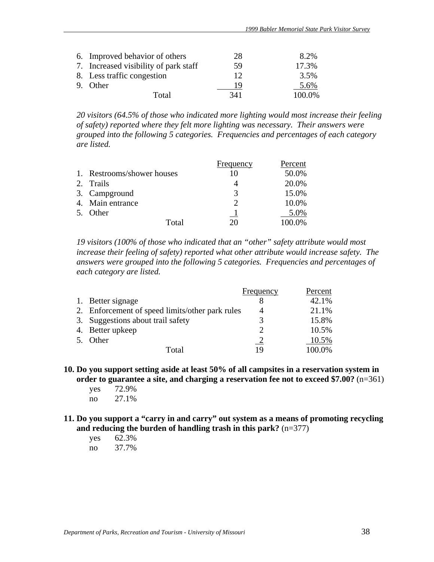| 6. Improved behavior of others        | 28  | 8.2%   |
|---------------------------------------|-----|--------|
| 7. Increased visibility of park staff | 59  | 17.3%  |
| 8. Less traffic congestion            | 12  | 3.5%   |
| 9. Other                              | 19  | 5.6%   |
| Total                                 | 341 | 100.0% |

*20 visitors (64.5% of those who indicated more lighting would most increase their feeling of safety) reported where they felt more lighting was necessary. Their answers were grouped into the following 5 categories. Frequencies and percentages of each category are listed.*

|    |                            | Frequency | Percent   |
|----|----------------------------|-----------|-----------|
|    | 1. Restrooms/shower houses | 10        | 50.0%     |
| 2. | Trails                     |           | 20.0%     |
|    | 3. Campground              | 3         | 15.0%     |
|    | 4. Main entrance           |           | 10.0%     |
| 5. | <b>Other</b>               |           | 5.0%      |
|    | Total                      | 20        | $100.0\%$ |

*19 visitors (100% of those who indicated that an "other" safety attribute would most increase their feeling of safety) reported what other attribute would increase safety. The answers were grouped into the following 5 categories. Frequencies and percentages of each category are listed.*

|    |                                                 | Frequency | Percent |
|----|-------------------------------------------------|-----------|---------|
|    | 1. Better signage                               |           | 42.1%   |
|    | 2. Enforcement of speed limits/other park rules | 4         | 21.1%   |
|    | 3. Suggestions about trail safety               | 3         | 15.8%   |
|    | 4. Better upkeep                                |           | 10.5%   |
| 5. | Other                                           |           | 10.5%   |
|    | Total                                           |           | 100.0%  |

**10. Do you support setting aside at least 50% of all campsites in a reservation system in order to guarantee a site, and charging a reservation fee not to exceed \$7.00?** (n=361)

- yes 72.9% no 27.1%
- **11. Do you support a "carry in and carry" out system as a means of promoting recycling and reducing the burden of handling trash in this park?** (n=377)
	- yes 62.3% no 37.7%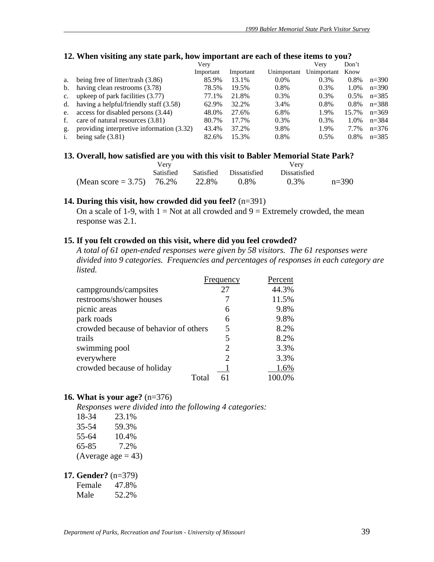|                | $\overline{\phantom{a}}$<br>$\overline{a}$<br>. . |           |           |             |             |         |           |
|----------------|---------------------------------------------------|-----------|-----------|-------------|-------------|---------|-----------|
|                |                                                   | Very      |           |             | Very        | Don't   |           |
|                |                                                   | Important | Important | Unimportant | Unimportant | Know    |           |
| a.             | being free of litter/trash $(3.86)$               | 85.9%     | 13.1%     | 0.0%        | 0.3%        | 0.8%    | $n=390$   |
| b.             | having clean restrooms (3.78)                     | 78.5%     | 19.5%     | 0.8%        | 0.3%        | 1.0%    | $n=390$   |
| $\mathbf{c}$ . | upkeep of park facilities (3.77)                  | 77.1%     | 21.8%     | 0.3%        | 0.3%        | $0.5\%$ | $n = 385$ |
| d.             | having a helpful/friendly staff (3.58)            | 62.9%     | 32.2%     | 3.4%        | 0.8%        | 0.8%    | $n = 388$ |
| e.             | access for disabled persons (3.44)                | 48.0%     | 27.6%     | 6.8%        | 1.9%        | 15.7%   | $n=369$   |
| f.             | care of natural resources (3.81)                  | 80.7%     | 17.7%     | 0.3%        | 0.3%        | 1.0%    | $n = 384$ |
| g.             | providing interpretive information (3.32)         | 43.4%     | 37.2%     | 9.8%        | 1.9%        | 7.7%    | $n=376$   |
| $\mathbf{1}$ . | being safe $(3.81)$                               | 82.6%     | 15.3%     | 0.8%        | 0.5%        | $0.8\%$ | $n=385$   |
|                |                                                   |           |           |             |             |         |           |

#### **12. When visiting any state park, how important are each of these items to you?**

#### 13. Overall, how satisfied are you with this visit to Babler Memorial State Park?

|                           | V er y           |       |                        | Very         |         |
|---------------------------|------------------|-------|------------------------|--------------|---------|
|                           | <b>Satisfied</b> |       | Satisfied Dissatisfied | Dissatisfied |         |
| (Mean score = 3.75) 76.2% |                  | 22.8% | $0.8\%$                | 0.3%         | $n=390$ |

#### **14. During this visit, how crowded did you feel?** (n=391)

On a scale of 1-9, with  $1 = Not$  at all crowded and  $9 = Extremely$  crowded, the mean response was 2.1.

#### **15. If you felt crowded on this visit, where did you feel crowded?**

*A total of 61 open-ended responses were given by 58 visitors. The 61 responses were divided into 9 categories. Frequencies and percentages of responses in each category are listed.* 

|                                       | Frequency | Percent |
|---------------------------------------|-----------|---------|
| campgrounds/campsites                 | 27        | 44.3%   |
| restrooms/shower houses               |           | 11.5%   |
| picnic areas                          | 6         | 9.8%    |
| park roads                            | 6         | 9.8%    |
| crowded because of behavior of others | 5         | 8.2%    |
| trails                                | 5         | 8.2%    |
| swimming pool                         | 2         | 3.3%    |
| everywhere                            | 2         | 3.3%    |
| crowded because of holiday            |           | 1.6%    |
| Total                                 |           | 100.0%  |

#### **16. What is your age?** (n=376)

*Responses were divided into the following 4 categories:*

| 18-34     | 23.1%                |
|-----------|----------------------|
| $35 - 54$ | 59.3%                |
| 55-64     | 10.4%                |
| 65-85     | 7.2%                 |
|           | (Average age $=$ 43) |

#### **17. Gender?** (n=379)

| Female | 47.8% |
|--------|-------|
|        |       |

| 52.2% |
|-------|
|       |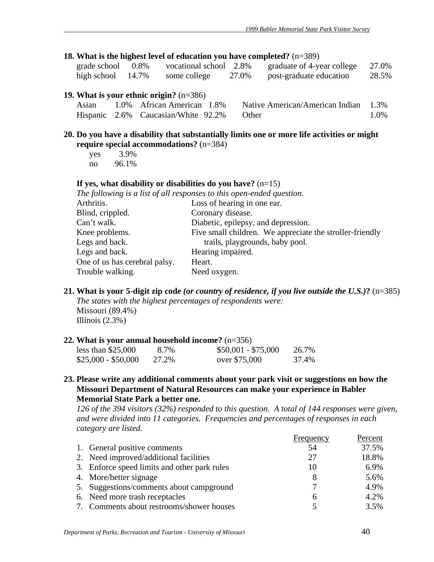#### **18. What is the highest level of education you have completed?** (n=389)

| grade school         | $0.8\%$ | vocational school 2.8% |       | graduate of 4-year college | 27.0% |
|----------------------|---------|------------------------|-------|----------------------------|-------|
| high school $14.7\%$ |         | some college           | 27.0% | post-graduate education    | 28.5% |

#### **19. What is your ethnic origin?** (n=386)

| Asian | 1.0% African American 1.8%                | Native American/American Indian 1.3% |      |
|-------|-------------------------------------------|--------------------------------------|------|
|       | Hispanic 2.6% Caucasian/White 92.2% Other |                                      | 1.0% |

#### **20. Do you have a disability that substantially limits one or more life activities or might require special accommodations?** (n=384)

| yes | 3.9%  |
|-----|-------|
| no  | 96.1% |

#### **If yes, what disability or disabilities do you have?** (n=15)

*The following is a list of all responses to this open-ended question.* 

| Arthritis.                    | Loss of hearing in one ear.                              |
|-------------------------------|----------------------------------------------------------|
| Blind, crippled.              | Coronary disease.                                        |
| Can't walk.                   | Diabetic, epilepsy, and depression.                      |
| Knee problems.                | Five small children. We appreciate the stroller-friendly |
| Legs and back.                | trails, playgrounds, baby pool.                          |
| Legs and back.                | Hearing impaired.                                        |
| One of us has cerebral palsy. | Heart.                                                   |
| Trouble walking.              | Need oxygen.                                             |
|                               |                                                          |

**21. What is your 5-digit zip code** *(or country of residence, if you live outside the U.S.)***?** (n=385) *The states with the highest percentages of respondents were:*  Missouri (89.4%) Illinois  $(2.3\%)$ 

#### **22. What is your annual household income?** (n=356)

| less than $$25,000$ | 8.7%  | $$50,001 - $75,000$ | 26.7% |
|---------------------|-------|---------------------|-------|
| $$25,000 - $50,000$ | 27.2% | over \$75,000       | 37.4% |

**23. Please write any additional comments about your park visit or suggestions on how the Missouri Department of Natural Resources can make your experience in Babler Memorial State Park a better one.** 

*126 of the 394 visitors (32%) responded to this question. A total of 144 responses were given, and were divided into 11 categories. Frequencies and percentages of responses in each category are listed.*

|                                              | Frequency | Percent |
|----------------------------------------------|-----------|---------|
| 1. General positive comments                 | 54        | 37.5%   |
| 2. Need improved/additional facilities       | 27        | 18.8%   |
| 3. Enforce speed limits and other park rules | 10        | 6.9%    |
| 4. More/better signage                       | 8         | 5.6%    |
| 5. Suggestions/comments about campground     | 7         | 4.9%    |
| 6. Need more trash receptacles               | 6         | 4.2%    |
| 7. Comments about restrooms/shower houses    |           | 3.5%    |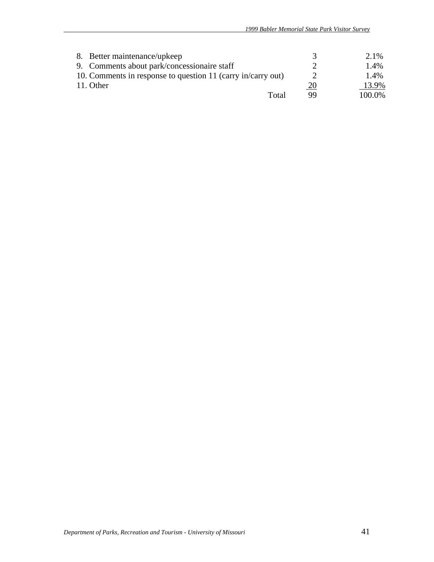| 8. Better maintenance/upkeep                                 |           | 2.1%   |
|--------------------------------------------------------------|-----------|--------|
| 9. Comments about park/concessionaire staff                  |           | 1.4%   |
| 10. Comments in response to question 11 (carry in/carry out) |           | 1.4%   |
| 11. Other                                                    | <u>20</u> | 13.9%  |
| Total                                                        | QQ        | 100.0% |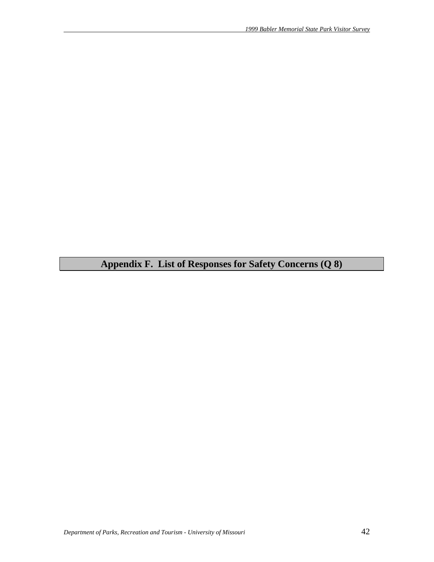**Appendix F. List of Responses for Safety Concerns (Q 8)**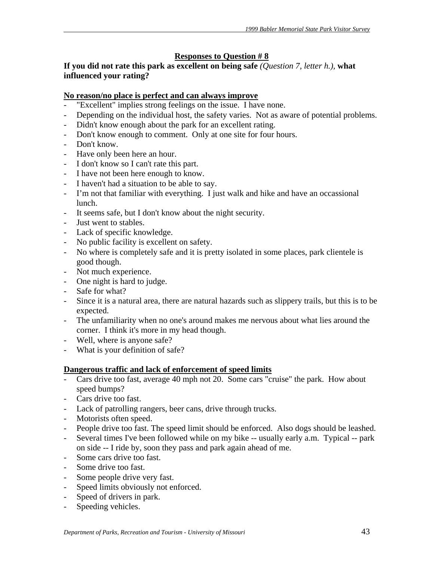# **Responses to Question # 8**

# **If you did not rate this park as excellent on being safe** *(Question 7, letter h.),* **what influenced your rating?**

# **No reason/no place is perfect and can always improve**

- "Excellent" implies strong feelings on the issue. I have none.
- Depending on the individual host, the safety varies. Not as aware of potential problems.
- Didn't know enough about the park for an excellent rating.
- Don't know enough to comment. Only at one site for four hours.
- Don't know.
- Have only been here an hour.
- I don't know so I can't rate this part.
- I have not been here enough to know.
- I haven't had a situation to be able to say.
- I'm not that familiar with everything. I just walk and hike and have an occassional lunch.
- It seems safe, but I don't know about the night security.
- Just went to stables.
- Lack of specific knowledge.
- No public facility is excellent on safety.
- No where is completely safe and it is pretty isolated in some places, park clientele is good though.
- Not much experience.
- One night is hard to judge.
- Safe for what?
- Since it is a natural area, there are natural hazards such as slippery trails, but this is to be expected.
- The unfamiliarity when no one's around makes me nervous about what lies around the corner. I think it's more in my head though.
- Well, where is anyone safe?
- What is your definition of safe?

# **Dangerous traffic and lack of enforcement of speed limits**

- Cars drive too fast, average 40 mph not 20. Some cars "cruise" the park. How about speed bumps?
- Cars drive too fast.
- Lack of patrolling rangers, beer cans, drive through trucks.
- Motorists often speed.
- People drive too fast. The speed limit should be enforced. Also dogs should be leashed.
- Several times I've been followed while on my bike -- usually early a.m. Typical -- park on side -- I ride by, soon they pass and park again ahead of me.
- Some cars drive too fast.
- Some drive too fast.
- Some people drive very fast.
- Speed limits obviously not enforced.
- Speed of drivers in park.
- Speeding vehicles.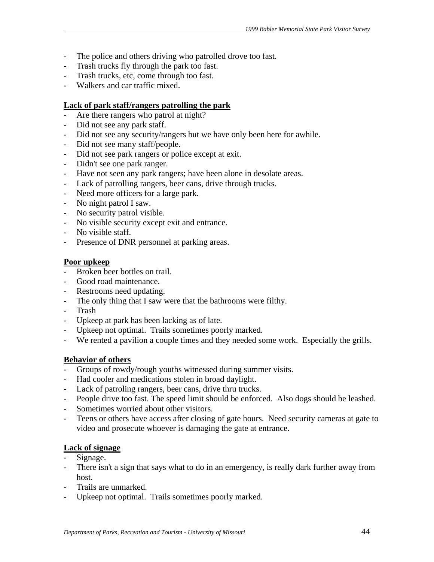- The police and others driving who patrolled drove too fast.
- Trash trucks fly through the park too fast.
- Trash trucks, etc, come through too fast.
- Walkers and car traffic mixed.

# **Lack of park staff/rangers patrolling the park**

- Are there rangers who patrol at night?
- Did not see any park staff.
- Did not see any security/rangers but we have only been here for awhile.
- Did not see many staff/people.
- Did not see park rangers or police except at exit.
- Didn't see one park ranger.
- Have not seen any park rangers; have been alone in desolate areas.
- Lack of patrolling rangers, beer cans, drive through trucks.
- Need more officers for a large park.
- No night patrol I saw.
- No security patrol visible.
- No visible security except exit and entrance.
- No visible staff.
- Presence of DNR personnel at parking areas.

### **Poor upkeep**

- Broken beer bottles on trail.
- Good road maintenance.
- Restrooms need updating.
- The only thing that I saw were that the bathrooms were filthy.
- Trash
- Upkeep at park has been lacking as of late.
- Upkeep not optimal. Trails sometimes poorly marked.
- We rented a pavilion a couple times and they needed some work. Especially the grills.

# **Behavior of others**

- Groups of rowdy/rough youths witnessed during summer visits.
- Had cooler and medications stolen in broad daylight.
- Lack of patroling rangers, beer cans, drive thru trucks.
- People drive too fast. The speed limit should be enforced. Also dogs should be leashed.
- Sometimes worried about other visitors.
- Teens or others have access after closing of gate hours. Need security cameras at gate to video and prosecute whoever is damaging the gate at entrance.

# **Lack of signage**

- Signage.
- There isn't a sign that says what to do in an emergency, is really dark further away from host.
- Trails are unmarked.
- Upkeep not optimal. Trails sometimes poorly marked.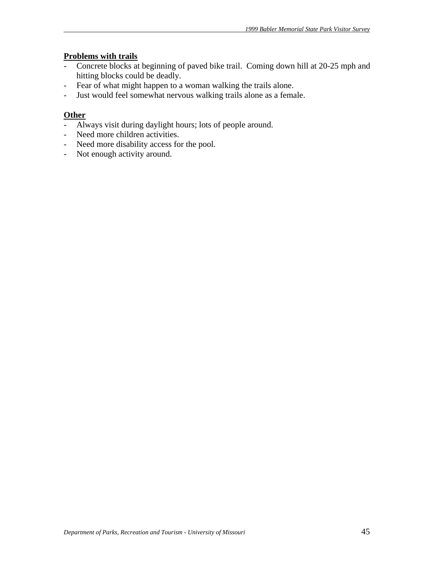# **Problems with trails**

- Concrete blocks at beginning of paved bike trail. Coming down hill at 20-25 mph and hitting blocks could be deadly.
- Fear of what might happen to a woman walking the trails alone.
- Just would feel somewhat nervous walking trails alone as a female.

# **Other**

- Always visit during daylight hours; lots of people around.
- Need more children activities.
- Need more disability access for the pool.
- Not enough activity around.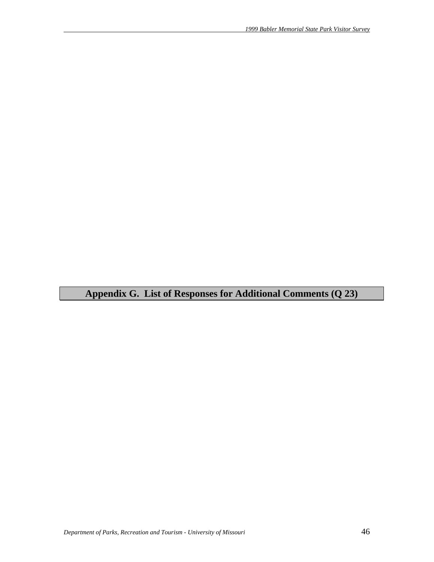**Appendix G. List of Responses for Additional Comments (Q 23)**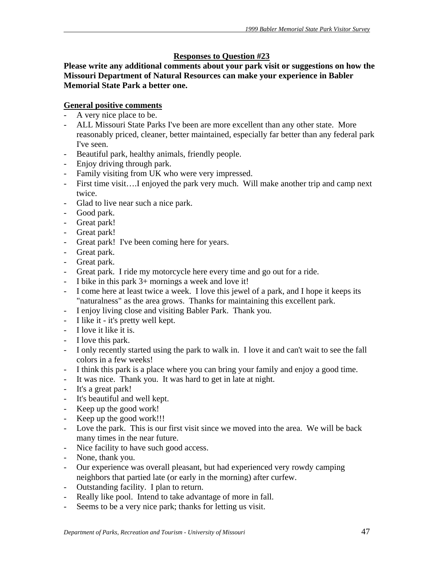# **Responses to Question #23**

**Please write any additional comments about your park visit or suggestions on how the Missouri Department of Natural Resources can make your experience in Babler Memorial State Park a better one.** 

# **General positive comments**

- A very nice place to be.
- ALL Missouri State Parks I've been are more excellent than any other state. More reasonably priced, cleaner, better maintained, especially far better than any federal park I've seen.
- Beautiful park, healthy animals, friendly people.
- Enjoy driving through park.
- Family visiting from UK who were very impressed.
- First time visit….I enjoyed the park very much. Will make another trip and camp next twice.
- Glad to live near such a nice park.
- Good park.
- Great park!
- Great park!
- Great park! I've been coming here for years.
- Great park.
- Great park.
- Great park. I ride my motorcycle here every time and go out for a ride.
- I bike in this park 3+ mornings a week and love it!
- I come here at least twice a week. I love this jewel of a park, and I hope it keeps its "naturalness" as the area grows. Thanks for maintaining this excellent park.
- I enjoy living close and visiting Babler Park. Thank you.
- I like it it's pretty well kept.
- I love it like it is.
- I love this park.
- I only recently started using the park to walk in. I love it and can't wait to see the fall colors in a few weeks!
- I think this park is a place where you can bring your family and enjoy a good time.
- It was nice. Thank you. It was hard to get in late at night.
- It's a great park!
- It's beautiful and well kept.
- Keep up the good work!
- Keep up the good work!!!
- Love the park. This is our first visit since we moved into the area. We will be back many times in the near future.
- Nice facility to have such good access.
- None, thank you.
- Our experience was overall pleasant, but had experienced very rowdy camping neighbors that partied late (or early in the morning) after curfew.
- Outstanding facility. I plan to return.
- Really like pool. Intend to take advantage of more in fall.
- Seems to be a very nice park; thanks for letting us visit.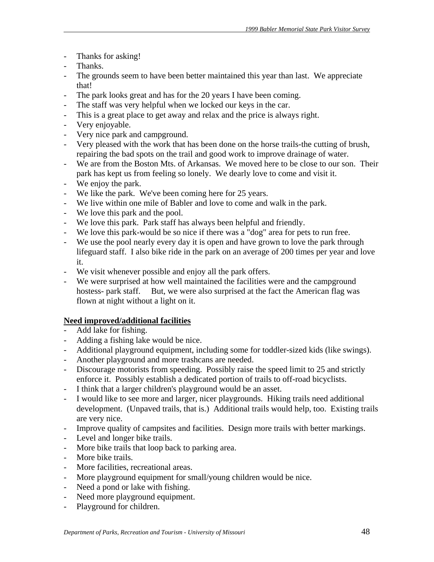- Thanks for asking!
- Thanks.
- The grounds seem to have been better maintained this year than last. We appreciate that!
- The park looks great and has for the 20 years I have been coming.
- The staff was very helpful when we locked our keys in the car.
- This is a great place to get away and relax and the price is always right.
- Very enjoyable.
- Very nice park and campground.
- Very pleased with the work that has been done on the horse trails-the cutting of brush, repairing the bad spots on the trail and good work to improve drainage of water.
- We are from the Boston Mts. of Arkansas. We moved here to be close to our son. Their park has kept us from feeling so lonely. We dearly love to come and visit it.
- We enjoy the park.
- We like the park. We've been coming here for 25 years.
- We live within one mile of Babler and love to come and walk in the park.
- We love this park and the pool.
- We love this park. Park staff has always been helpful and friendly.
- We love this park-would be so nice if there was a "dog" area for pets to run free.
- We use the pool nearly every day it is open and have grown to love the park through lifeguard staff. I also bike ride in the park on an average of 200 times per year and love it.
- We visit whenever possible and enjoy all the park offers.
- We were surprised at how well maintained the facilities were and the campground hostess- park staff. But, we were also surprised at the fact the American flag was flown at night without a light on it.

# **Need improved/additional facilities**

- Add lake for fishing.
- Adding a fishing lake would be nice.
- Additional playground equipment, including some for toddler-sized kids (like swings).
- Another playground and more trashcans are needed.
- Discourage motorists from speeding. Possibly raise the speed limit to 25 and strictly enforce it. Possibly establish a dedicated portion of trails to off-road bicyclists.
- I think that a larger children's playground would be an asset.
- I would like to see more and larger, nicer playgrounds. Hiking trails need additional development. (Unpaved trails, that is.) Additional trails would help, too. Existing trails are very nice.
- Improve quality of campsites and facilities. Design more trails with better markings.
- Level and longer bike trails.
- More bike trails that loop back to parking area.
- More bike trails.
- More facilities, recreational areas.
- More playground equipment for small/young children would be nice.
- Need a pond or lake with fishing.
- Need more playground equipment.
- Playground for children.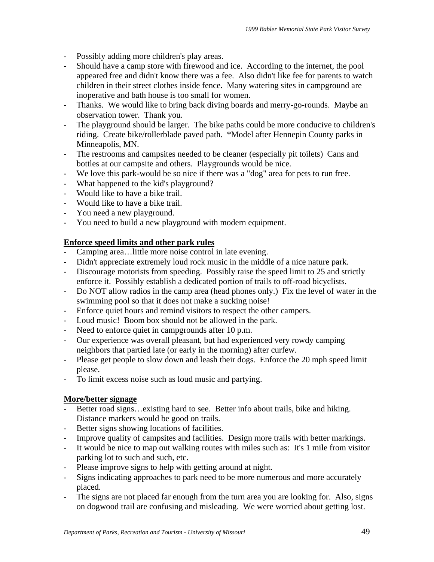- Possibly adding more children's play areas.
- Should have a camp store with firewood and ice. According to the internet, the pool appeared free and didn't know there was a fee. Also didn't like fee for parents to watch children in their street clothes inside fence. Many watering sites in campground are inoperative and bath house is too small for women.
- Thanks. We would like to bring back diving boards and merry-go-rounds. Maybe an observation tower. Thank you.
- The playground should be larger. The bike paths could be more conducive to children's riding. Create bike/rollerblade paved path. \*Model after Hennepin County parks in Minneapolis, MN.
- The restrooms and campsites needed to be cleaner (especially pit toilets) Cans and bottles at our campsite and others. Playgrounds would be nice.
- We love this park-would be so nice if there was a "dog" area for pets to run free.
- What happened to the kid's playground?
- Would like to have a bike trail.
- Would like to have a bike trail.
- You need a new playground.
- You need to build a new playground with modern equipment.

# **Enforce speed limits and other park rules**

- Camping area…little more noise control in late evening.
- Didn't appreciate extremely loud rock music in the middle of a nice nature park.
- Discourage motorists from speeding. Possibly raise the speed limit to 25 and strictly enforce it. Possibly establish a dedicated portion of trails to off-road bicyclists.
- Do NOT allow radios in the camp area (head phones only.) Fix the level of water in the swimming pool so that it does not make a sucking noise!
- Enforce quiet hours and remind visitors to respect the other campers.
- Loud music! Boom box should not be allowed in the park.
- Need to enforce quiet in campgrounds after 10 p.m.
- Our experience was overall pleasant, but had experienced very rowdy camping neighbors that partied late (or early in the morning) after curfew.
- Please get people to slow down and leash their dogs. Enforce the 20 mph speed limit please.
- To limit excess noise such as loud music and partying.

# **More/better signage**

- Better road signs...existing hard to see. Better info about trails, bike and hiking. Distance markers would be good on trails.
- Better signs showing locations of facilities.
- Improve quality of campsites and facilities. Design more trails with better markings.
- It would be nice to map out walking routes with miles such as: It's 1 mile from visitor parking lot to such and such, etc.
- Please improve signs to help with getting around at night.
- Signs indicating approaches to park need to be more numerous and more accurately placed.
- The signs are not placed far enough from the turn area you are looking for. Also, signs on dogwood trail are confusing and misleading. We were worried about getting lost.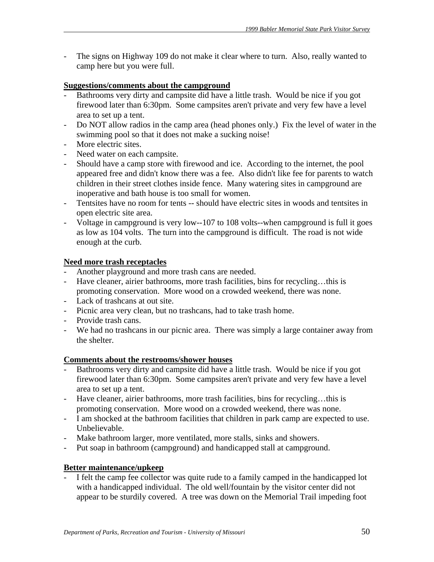- The signs on Highway 109 do not make it clear where to turn. Also, really wanted to camp here but you were full.

# **Suggestions/comments about the campground**

- Bathrooms very dirty and campsite did have a little trash. Would be nice if you got firewood later than 6:30pm. Some campsites aren't private and very few have a level area to set up a tent.
- Do NOT allow radios in the camp area (head phones only.) Fix the level of water in the swimming pool so that it does not make a sucking noise!
- More electric sites.
- Need water on each campsite.
- Should have a camp store with firewood and ice. According to the internet, the pool appeared free and didn't know there was a fee. Also didn't like fee for parents to watch children in their street clothes inside fence. Many watering sites in campground are inoperative and bath house is too small for women.
- Tentsites have no room for tents -- should have electric sites in woods and tentsites in open electric site area.
- Voltage in campground is very low--107 to 108 volts--when campground is full it goes as low as 104 volts. The turn into the campground is difficult. The road is not wide enough at the curb.

# **Need more trash receptacles**

- Another playground and more trash cans are needed.
- Have cleaner, airier bathrooms, more trash facilities, bins for recycling…this is promoting conservation. More wood on a crowded weekend, there was none.
- Lack of trashcans at out site.
- Picnic area very clean, but no trashcans, had to take trash home.
- Provide trash cans.
- We had no trashcans in our picnic area. There was simply a large container away from the shelter.

# **Comments about the restrooms/shower houses**

- Bathrooms very dirty and campsite did have a little trash. Would be nice if you got firewood later than 6:30pm. Some campsites aren't private and very few have a level area to set up a tent.
- Have cleaner, airier bathrooms, more trash facilities, bins for recycling…this is promoting conservation. More wood on a crowded weekend, there was none.
- I am shocked at the bathroom facilities that children in park camp are expected to use. Unbelievable.
- Make bathroom larger, more ventilated, more stalls, sinks and showers.
- Put soap in bathroom (campground) and handicapped stall at campground.

# **Better maintenance/upkeep**

I felt the camp fee collector was quite rude to a family camped in the handicapped lot with a handicapped individual. The old well/fountain by the visitor center did not appear to be sturdily covered. A tree was down on the Memorial Trail impeding foot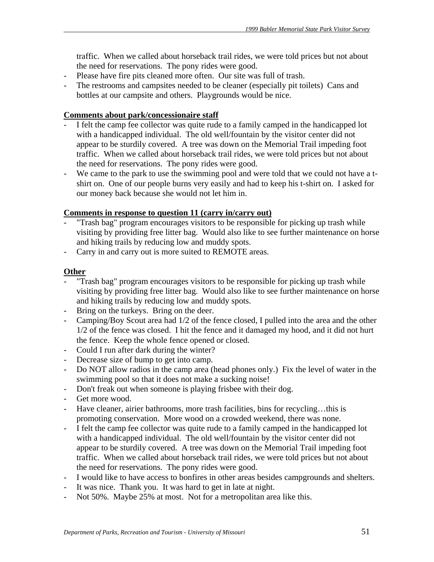traffic. When we called about horseback trail rides, we were told prices but not about the need for reservations. The pony rides were good.

- Please have fire pits cleaned more often. Our site was full of trash.
- The restrooms and campsites needed to be cleaner (especially pit toilets) Cans and bottles at our campsite and others. Playgrounds would be nice.

#### **Comments about park/concessionaire staff**

- I felt the camp fee collector was quite rude to a family camped in the handicapped lot with a handicapped individual. The old well/fountain by the visitor center did not appear to be sturdily covered. A tree was down on the Memorial Trail impeding foot traffic. When we called about horseback trail rides, we were told prices but not about the need for reservations. The pony rides were good.
- We came to the park to use the swimming pool and were told that we could not have a tshirt on. One of our people burns very easily and had to keep his t-shirt on. I asked for our money back because she would not let him in.

### **Comments in response to question 11 (carry in/carry out)**

- "Trash bag" program encourages visitors to be responsible for picking up trash while visiting by providing free litter bag. Would also like to see further maintenance on horse and hiking trails by reducing low and muddy spots.
- Carry in and carry out is more suited to REMOTE areas.

### **Other**

- "Trash bag" program encourages visitors to be responsible for picking up trash while visiting by providing free litter bag. Would also like to see further maintenance on horse and hiking trails by reducing low and muddy spots.
- Bring on the turkeys. Bring on the deer.
- Camping/Boy Scout area had  $1/2$  of the fence closed, I pulled into the area and the other 1/2 of the fence was closed. I hit the fence and it damaged my hood, and it did not hurt the fence. Keep the whole fence opened or closed.
- Could I run after dark during the winter?
- Decrease size of bump to get into camp.
- Do NOT allow radios in the camp area (head phones only.) Fix the level of water in the swimming pool so that it does not make a sucking noise!
- Don't freak out when someone is playing frisbee with their dog.
- Get more wood.
- Have cleaner, airier bathrooms, more trash facilities, bins for recycling...this is promoting conservation. More wood on a crowded weekend, there was none.
- I felt the camp fee collector was quite rude to a family camped in the handicapped lot with a handicapped individual. The old well/fountain by the visitor center did not appear to be sturdily covered. A tree was down on the Memorial Trail impeding foot traffic. When we called about horseback trail rides, we were told prices but not about the need for reservations. The pony rides were good.
- I would like to have access to bonfires in other areas besides campgrounds and shelters.
- It was nice. Thank you. It was hard to get in late at night.
- Not 50%. Maybe 25% at most. Not for a metropolitan area like this.